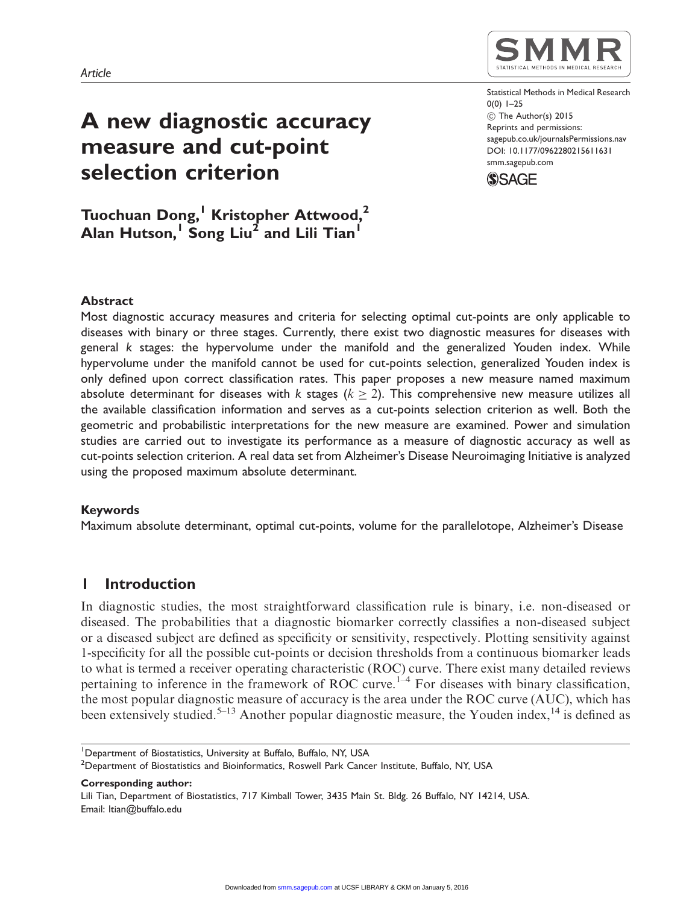# A new diagnostic accuracy measure and cut-point selection criterion

Tuochuan Dong,<sup>1</sup> Kristopher Attwood,<sup>2</sup> Alan Hutson,<sup>1</sup> Song Liu<sup>2</sup> and Lili Tian<sup>1</sup>



Statistical Methods in Medical Research 0(0) 1–25  $\circledcirc$  The Author(s) 2015 Reprints and permissions: sagepub.co.uk/journalsPermissions.nav DOI: 10.1177/0962280215611631 smm.sagepub.com



## Abstract

Most diagnostic accuracy measures and criteria for selecting optimal cut-points are only applicable to diseases with binary or three stages. Currently, there exist two diagnostic measures for diseases with general k stages: the hypervolume under the manifold and the generalized Youden index. While hypervolume under the manifold cannot be used for cut-points selection, generalized Youden index is only defined upon correct classification rates. This paper proposes a new measure named maximum absolute determinant for diseases with  $k$  stages  $(k\geq 2).$  This comprehensive new measure utilizes all the available classification information and serves as a cut-points selection criterion as well. Both the geometric and probabilistic interpretations for the new measure are examined. Power and simulation studies are carried out to investigate its performance as a measure of diagnostic accuracy as well as cut-points selection criterion. A real data set from Alzheimer's Disease Neuroimaging Initiative is analyzed using the proposed maximum absolute determinant.

## Keywords

Maximum absolute determinant, optimal cut-points, volume for the parallelotope, Alzheimer's Disease

# 1 Introduction

In diagnostic studies, the most straightforward classification rule is binary, i.e. non-diseased or diseased. The probabilities that a diagnostic biomarker correctly classifies a non-diseased subject or a diseased subject are defined as specificity or sensitivity, respectively. Plotting sensitivity against 1-specificity for all the possible cut-points or decision thresholds from a continuous biomarker leads to what is termed a receiver operating characteristic (ROC) curve. There exist many detailed reviews pertaining to inference in the framework of ROC curve.<sup>1-4</sup> For diseases with binary classification, the most popular diagnostic measure of accuracy is the area under the ROC curve (AUC), which has been extensively studied.<sup>5–13</sup> Another popular diagnostic measure, the Youden index,<sup>14</sup> is defined as

<sup>&</sup>lt;sup>1</sup>Department of Biostatistics, University at Buffalo, Buffalo, NY, USA

 $^2$ Department of Biostatistics and Bioinformatics, Roswell Park Cancer Institute, Buffalo, NY, USA

Corresponding author:

Lili Tian, Department of Biostatistics, 717 Kimball Tower, 3435 Main St. Bldg. 26 Buffalo, NY 14214, USA. Email: ltian@buffalo.edu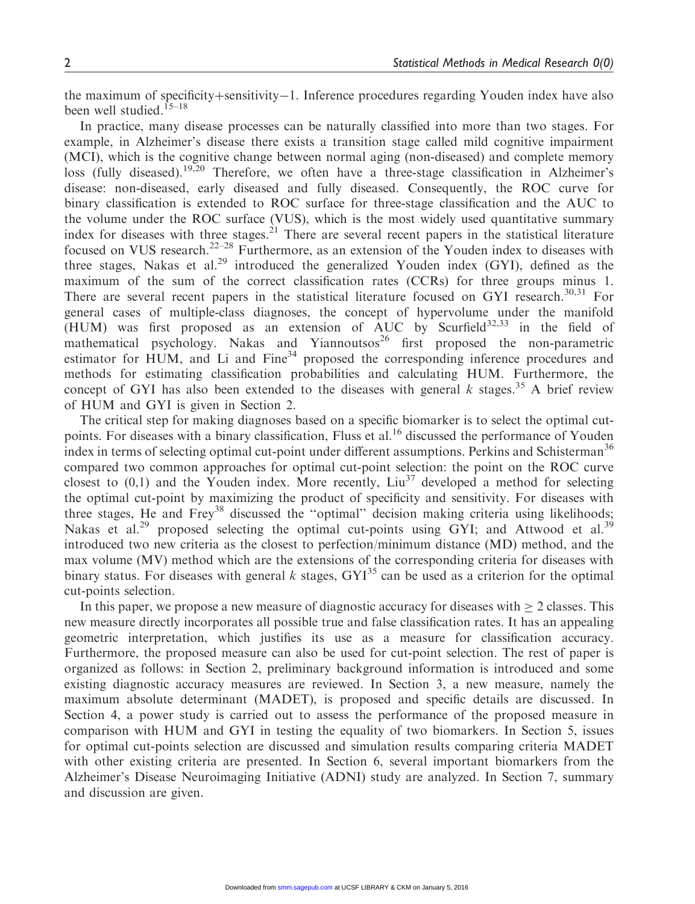the maximum of specificity+sensitivity–1. Inference procedures regarding Youden index have also been well studied.<sup>15–18</sup>

In practice, many disease processes can be naturally classified into more than two stages. For example, in Alzheimer's disease there exists a transition stage called mild cognitive impairment (MCI), which is the cognitive change between normal aging (non-diseased) and complete memory loss (fully diseased).19,20 Therefore, we often have a three-stage classification in Alzheimer's disease: non-diseased, early diseased and fully diseased. Consequently, the ROC curve for binary classification is extended to ROC surface for three-stage classification and the AUC to the volume under the ROC surface (VUS), which is the most widely used quantitative summary index for diseases with three stages.<sup>21</sup> There are several recent papers in the statistical literature focused on VUS research.<sup>22–28</sup> Furthermore, as an extension of the Youden index to diseases with three stages, Nakas et al.<sup>29</sup> introduced the generalized Youden index (GYI), defined as the maximum of the sum of the correct classification rates (CCRs) for three groups minus 1. There are several recent papers in the statistical literature focused on GYI research. $30,31$  For general cases of multiple-class diagnoses, the concept of hypervolume under the manifold (HUM) was first proposed as an extension of AUC by Scurfield<sup>32,33</sup> in the field of mathematical psychology. Nakas and Yiannoutsos<sup>26</sup> first proposed the non-parametric estimator for HUM, and Li and Fine<sup>34</sup> proposed the corresponding inference procedures and methods for estimating classification probabilities and calculating HUM. Furthermore, the concept of GYI has also been extended to the diseases with general k stages.<sup>35</sup> A brief review of HUM and GYI is given in Section 2.

The critical step for making diagnoses based on a specific biomarker is to select the optimal cutpoints. For diseases with a binary classification, Fluss et al.<sup>16</sup> discussed the performance of Youden index in terms of selecting optimal cut-point under different assumptions. Perkins and Schisterman<sup>36</sup> compared two common approaches for optimal cut-point selection: the point on the ROC curve closest to  $(0,1)$  and the Youden index. More recently, Liu<sup>37</sup> developed a method for selecting the optimal cut-point by maximizing the product of specificity and sensitivity. For diseases with three stages, He and Frey<sup>38</sup> discussed the "optimal" decision making criteria using likelihoods; Nakas et al.<sup>29</sup> proposed selecting the optimal cut-points using GYI; and Attwood et al.<sup>39</sup> introduced two new criteria as the closest to perfection/minimum distance (MD) method, and the max volume (MV) method which are the extensions of the corresponding criteria for diseases with binary status. For diseases with general k stages,  $GYI^{35}$  can be used as a criterion for the optimal cut-points selection.

In this paper, we propose a new measure of diagnostic accuracy for diseases with  $\geq 2$  classes. This new measure directly incorporates all possible true and false classification rates. It has an appealing geometric interpretation, which justifies its use as a measure for classification accuracy. Furthermore, the proposed measure can also be used for cut-point selection. The rest of paper is organized as follows: in Section 2, preliminary background information is introduced and some existing diagnostic accuracy measures are reviewed. In Section 3, a new measure, namely the maximum absolute determinant (MADET), is proposed and specific details are discussed. In Section 4, a power study is carried out to assess the performance of the proposed measure in comparison with HUM and GYI in testing the equality of two biomarkers. In Section 5, issues for optimal cut-points selection are discussed and simulation results comparing criteria MADET with other existing criteria are presented. In Section 6, several important biomarkers from the Alzheimer's Disease Neuroimaging Initiative (ADNI) study are analyzed. In Section 7, summary and discussion are given.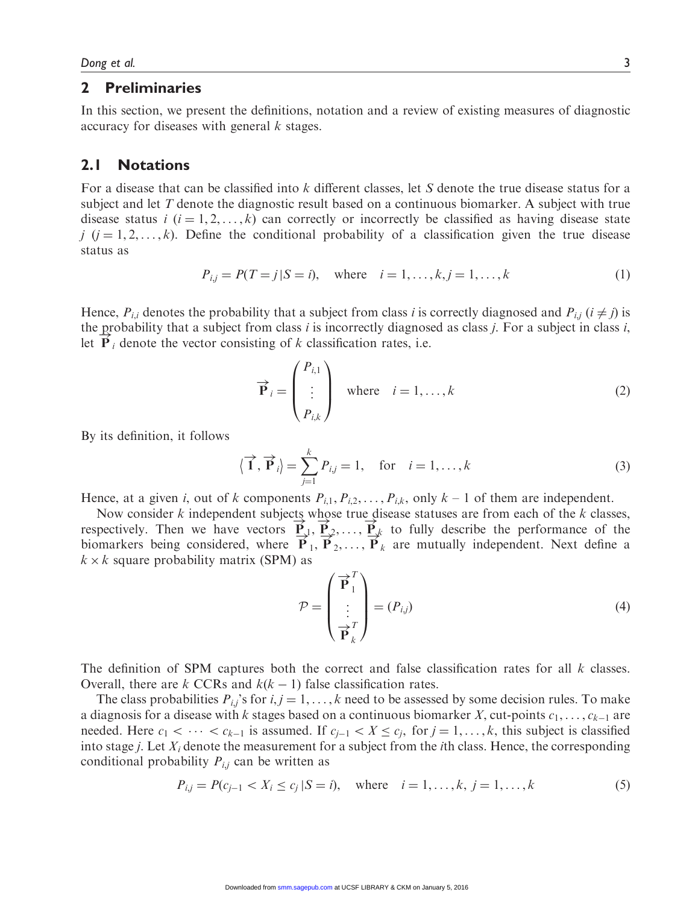#### 2 Preliminaries

In this section, we present the definitions, notation and a review of existing measures of diagnostic accuracy for diseases with general k stages.

# 2.1 Notations

For a disease that can be classified into k different classes, let S denote the true disease status for a subject and let T denote the diagnostic result based on a continuous biomarker. A subject with true disease status  $i$  ( $i = 1, 2, ..., k$ ) can correctly or incorrectly be classified as having disease state j  $(j = 1, 2, ..., k)$ . Define the conditional probability of a classification given the true disease status as

$$
P_{i,j} = P(T = j | S = i), \text{ where } i = 1, ..., k, j = 1, ..., k
$$
 (1)

Hence,  $P_{i,i}$  denotes the probability that a subject from class i is correctly diagnosed and  $P_{i,j}$  ( $i \neq j$ ) is the probability that a subject from class *i* is incorrectly diagnosed as class *j*. For a subject in class *i*,  $\mathbb{R}^3$  denote the proton conjetion of *l*, those faction mater, i.e. let  $P_i$  denote the vector consisting of k classification rates, i.e.

$$
\overrightarrow{\mathbf{P}}_{i} = \begin{pmatrix} P_{i,1} \\ \vdots \\ P_{i,k} \end{pmatrix} \text{ where } i = 1, ..., k
$$
 (2)

By its definition, it follows

$$
\langle \overrightarrow{1}, \overrightarrow{P}_i \rangle = \sum_{j=1}^k P_{i,j} = 1, \text{ for } i = 1, \dots, k
$$
 (3)

Hence, at a given i, out of k components  $P_{i,1}, P_{i,2}, \ldots, P_{i,k}$ , only  $k-1$  of them are independent.

Now consider k independent subjects whose true disease statuses are from each of the k classes, Now consider  $\kappa$  independent subjects whose the disease statuses are non-each of the  $\kappa$  classes, respectively. Then we have vectors  $\vec{P}_1, \vec{P}_2, \dots, \vec{P}_k$  to fully describe the performance of the biomarkers being considered, where  $\overrightarrow{P}_1$ ,  $\overrightarrow{P}_2$ ,...,  $\overrightarrow{P}_k$  are mutually independent. Next define a  $k \times k$  square probability matrix (SPM) as

$$
\mathcal{P} = \begin{pmatrix} \vec{\mathbf{P}}_1^T \\ \vdots \\ \vec{\mathbf{P}}_k^T \end{pmatrix} = (P_{i,j})
$$
\n(4)

The definition of SPM captures both the correct and false classification rates for all  $k$  classes. Overall, there are k CCRs and  $k(k - 1)$  false classification rates.

The class probabilities  $P_{i,j}$ 's for  $i, j = 1, ..., k$  need to be assessed by some decision rules. To make a diagnosis for a disease with k stages based on a continuous biomarker X, cut-points  $c_1, \ldots, c_{k-1}$  are needed. Here  $c_1 < \cdots < c_{k-1}$  is assumed. If  $c_{i-1} < X \leq c_i$ , for  $j = 1, \ldots, k$ , this subject is classified into stage *j*. Let  $X_i$  denote the measurement for a subject from the *i*th class. Hence, the corresponding conditional probability  $P_{i,j}$  can be written as

$$
P_{i,j} = P(c_{j-1} < X_i \le c_j \, |S = i), \quad \text{where} \quad i = 1, \dots, k, \, j = 1, \dots, k \tag{5}
$$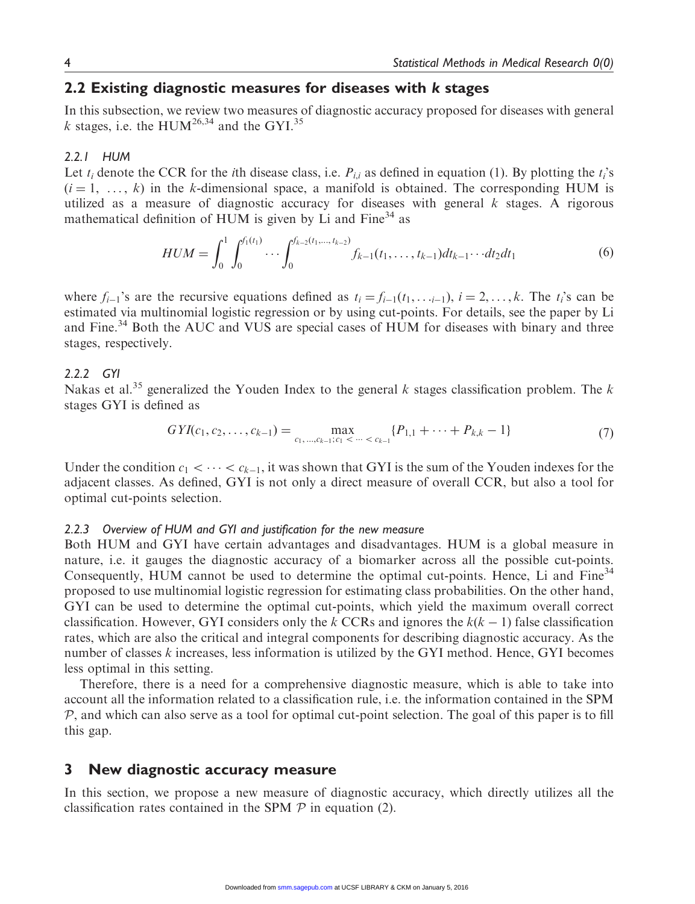# 2.2 Existing diagnostic measures for diseases with k stages

In this subsection, we review two measures of diagnostic accuracy proposed for diseases with general k stages, i.e. the HUM<sup>26,34</sup> and the GYI.<sup>35</sup>

#### 2.2.1 HUM

Let  $t_i$  denote the CCR for the *i*th disease class, i.e.  $P_{i,i}$  as defined in equation (1). By plotting the  $t_i$ 's  $(i = 1, \ldots, k)$  in the k-dimensional space, a manifold is obtained. The corresponding HUM is utilized as a measure of diagnostic accuracy for diseases with general  $k$  stages. A rigorous mathematical definition of HUM is given by Li and  $Fine<sup>34</sup>$  as

$$
HUM = \int_0^1 \int_0^{f_1(t_1)} \cdots \int_0^{f_{k-2}(t_1,\ldots,t_{k-2})} f_{k-1}(t_1,\ldots,t_{k-1}) dt_{k-1} \cdots dt_2 dt_1 \tag{6}
$$

where  $f_{i-1}$ 's are the recursive equations defined as  $t_i = f_{i-1}(t_1, \ldots, t_n)$ ,  $i = 2, \ldots, k$ . The  $t_i$ 's can be estimated via multinomial logistic regression or by using cut-points. For details, see the paper by Li and Fine.<sup>34</sup> Both the AUC and VUS are special cases of HUM for diseases with binary and three stages, respectively.

#### 2.2.2 GYI

Nakas et al.<sup>35</sup> generalized the Youden Index to the general k stages classification problem. The k stages GYI is defined as

$$
GYI(c_1, c_2, \dots, c_{k-1}) = \max_{c_1, \dots, c_{k-1}; c_1 < \dots < c_{k-1}} \{P_{1,1} + \dots + P_{k,k} - 1\}
$$
(7)

Under the condition  $c_1 < \cdots < c_{k-1}$ , it was shown that GYI is the sum of the Youden indexes for the adjacent classes. As defined, GYI is not only a direct measure of overall CCR, but also a tool for optimal cut-points selection.

#### 2.2.3 Overview of HUM and GYI and justification for the new measure

Both HUM and GYI have certain advantages and disadvantages. HUM is a global measure in nature, i.e. it gauges the diagnostic accuracy of a biomarker across all the possible cut-points. Consequently, HUM cannot be used to determine the optimal cut-points. Hence, Li and Fine<sup>34</sup> proposed to use multinomial logistic regression for estimating class probabilities. On the other hand, GYI can be used to determine the optimal cut-points, which yield the maximum overall correct classification. However, GYI considers only the k CCRs and ignores the  $k(k - 1)$  false classification rates, which are also the critical and integral components for describing diagnostic accuracy. As the number of classes k increases, less information is utilized by the GYI method. Hence, GYI becomes less optimal in this setting.

Therefore, there is a need for a comprehensive diagnostic measure, which is able to take into account all the information related to a classification rule, i.e. the information contained in the SPM  $P$ , and which can also serve as a tool for optimal cut-point selection. The goal of this paper is to fill this gap.

## 3 New diagnostic accuracy measure

In this section, we propose a new measure of diagnostic accuracy, which directly utilizes all the classification rates contained in the SPM  $P$  in equation (2).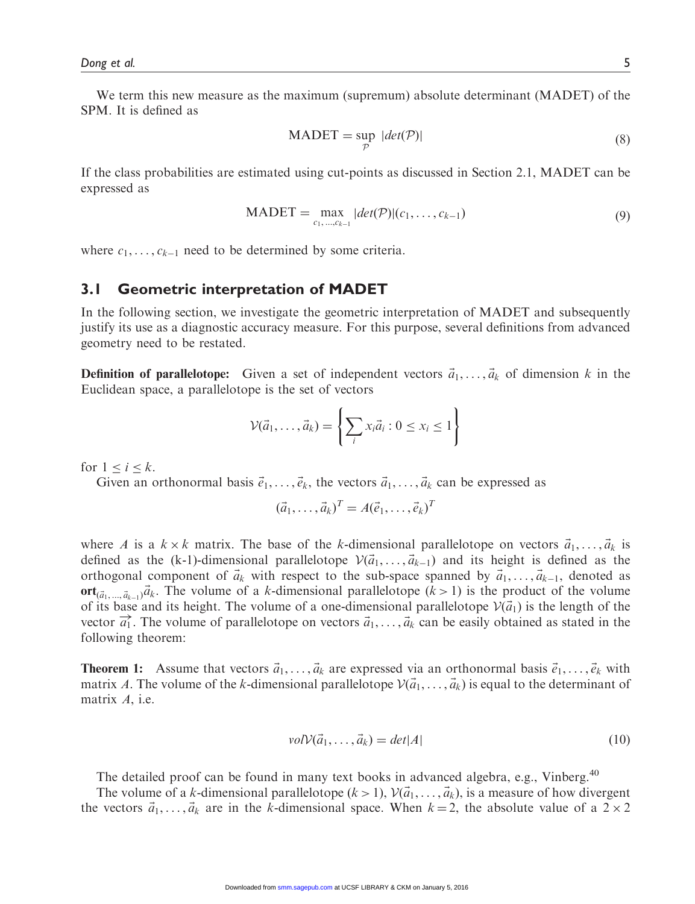We term this new measure as the maximum (supremum) absolute determinant (MADET) of the SPM. It is defined as

$$
MADET = \sup_{\mathcal{P}} |det(\mathcal{P})|
$$
 (8)

If the class probabilities are estimated using cut-points as discussed in Section 2.1, MADET can be expressed as

$$
MADET = \max_{c_1, ..., c_{k-1}} |det(\mathcal{P})|(c_1, ..., c_{k-1})
$$
\n(9)

where  $c_1, \ldots, c_{k-1}$  need to be determined by some criteria.

# 3.1 Geometric interpretation of MADET

In the following section, we investigate the geometric interpretation of MADET and subsequently justify its use as a diagnostic accuracy measure. For this purpose, several definitions from advanced geometry need to be restated.

**Definition of parallelotope:** Given a set of independent vectors  $\vec{a}_1, \ldots, \vec{a}_k$  of dimension k in the Euclidean space, a parallelotope is the set of vectors

$$
\mathcal{V}(\vec{a}_1,\ldots,\vec{a}_k) = \left\{ \sum_i x_i \vec{a}_i : 0 \le x_i \le 1 \right\}
$$

for  $1 \leq i \leq k$ .

Given an orthonormal basis  $\vec{e}_1, \ldots, \vec{e}_k$ , the vectors  $\vec{a}_1, \ldots, \vec{a}_k$  can be expressed as

$$
(\vec{a}_1,\ldots,\vec{a}_k)^T = A(\vec{e}_1,\ldots,\vec{e}_k)^T
$$

where A is a  $k \times k$  matrix. The base of the k-dimensional parallelotope on vectors  $\vec{a}_1, \dots, \vec{a}_k$  is defined as the (k-1)-dimensional parallelotope  $V(\vec{a}_1, \ldots, \vec{a}_{k-1})$  and its height is defined as the orthogonal component of  $\vec{a}_k$  with respect to the sub-space spanned by  $\vec{a}_1, \dots, \vec{a}_{k-1}$ , denoted as ort $\vec{a}_{k_1...k_{k-1}}\vec{a}_k$ . The volume of a k-dimensional parallelotope  $(k > 1)$  is the product of the volume of its base and its height. The volume of a one-dimensional parallelotope  $V(\vec{a}_1)$  is the length of the vector  $\vec{a_1}$ . The volume of parallelotope on vectors  $\vec{a_1}, \dots, \vec{a_k}$  can be easily obtained as stated in the following theorem:

**Theorem 1:** Assume that vectors  $\vec{a}_1, \ldots, \vec{a}_k$  are expressed via an orthonormal basis  $\vec{e}_1, \ldots, \vec{e}_k$  with matrix A. The volume of the k-dimensional parallelotope  $V(\vec{a}_1, \ldots, \vec{a}_k)$  is equal to the determinant of matrix A, i.e.

$$
volV(\vec{a}_1, \dots, \vec{a}_k) = det|A|
$$
\n(10)

The detailed proof can be found in many text books in advanced algebra, e.g., Vinberg.<sup>40</sup>

The volume of a k-dimensional parallelotope  $(k > 1)$ ,  $V(\vec{a}_1, \ldots, \vec{a}_k)$ , is a measure of how divergent the vectors  $\vec{a}_1, \ldots, \vec{a}_k$  are in the k-dimensional space. When  $k = 2$ , the absolute value of a  $2 \times 2$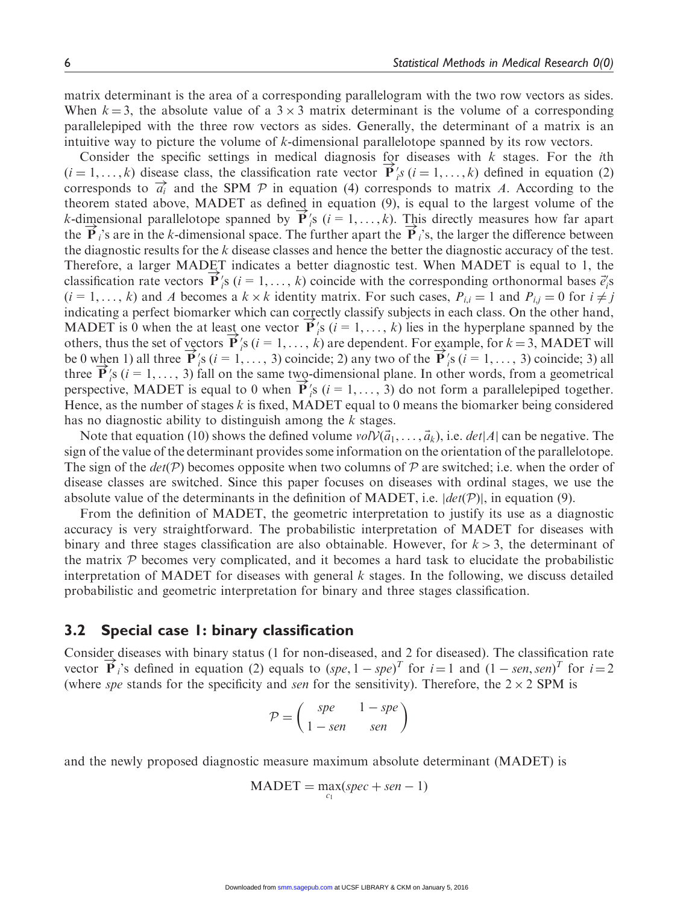matrix determinant is the area of a corresponding parallelogram with the two row vectors as sides. When  $k = 3$ , the absolute value of a  $3 \times 3$  matrix determinant is the volume of a corresponding parallelepiped with the three row vectors as sides. Generally, the determinant of a matrix is an intuitive way to picture the volume of k-dimensional parallelotope spanned by its row vectors.

Consider the specific settings in medical diagnosis for diseases with  $k$  stages. For the *i*th Consider the specific settings in included diagnosis for diseases with  $\kappa$  stages. For the *the*  $(i = 1, ..., k)$  disease class, the classification rate vector  $\mathbf{P}'_i s$  ( $i = 1, ..., k$ ) defined in equation (2) corresponds to  $\vec{a_i}$  and the SPM P in equation (4) corresponds to matrix A. According to the theorem stated above, MADET as defined in equation (9), is equal to the largest volume of the theorem stated above, MADET as defined in equation (9), is equal to the largest volume of the k-dimensional parallelotope spanned by  $\vec{P}'_i$ s ( $i = 1, ..., k$ ). This directly measures how far apart the  $\overrightarrow{P}_i$ 's are in the k-dimensional space. The further apart the  $\overrightarrow{P}_i$ 's, the larger the difference between the diagnostic results for the  $k$  disease classes and hence the better the diagnostic accuracy of the test. Therefore, a larger MADET indicates a better diagnostic test. When MADET is equal to 1, the received a ranger MAD in minerates a better diagnosite test. When MAD is equal to 1, the classification rate vectors  $\vec{P}'_i$ s ( $i = 1, ..., k$ ) coincide with the corresponding orthonormal bases  $\vec{e}'_i$ s  $(i=1,\ldots,k)$  and A becomes a  $k \times k$  identity matrix. For such cases,  $P_{i,i} = 1$  and  $P_{i,j} = 0$  for  $i \neq j$ indicating a perfect biomarker which can correctly classify subjects in each class. On the other hand, MADET is 0 when the at least one vector  $\overrightarrow{P}_i$ 's  $(i = 1, ..., k)$  lies in the hyperplane spanned by the others, thus the set of vectors  $\overrightarrow{P}_i$ 's  $(i = 1, ..., k)$  are dependent. For example, for  $k = 3$ , MADET will be 0 when 1) all three  $\overrightarrow{P}_i$ 's  $(i = 1, ..., 3)$  coincide; 2) any two of the  $\overrightarrow{P}_i$ 's  $(i = 1, ..., 3)$  coincide; 3) all three  $\overrightarrow{P}_i$ 's ( $i = 1, ..., 3$ ) fall on the same two-dimensional plane. In other words, from a geometrical three  $\mathbf{r}$  is  $(i = 1, ..., 5)$  fail on the same two-dimensional plane. In other words, from a geometrical<br>perspective, MADET is equal to 0 when  $\mathbf{P}'_i$ s  $(i = 1, ..., 3)$  do not form a parallelepiped together. Hence, as the number of stages  $k$  is fixed, MADET equal to 0 means the biomarker being considered has no diagnostic ability to distinguish among the  $k$  stages.

Note that equation (10) shows the defined volume  $volV(\vec{a}_1, \ldots, \vec{a}_k)$ , i.e.  $det|A|$  can be negative. The sign of the value of the determinant provides some information on the orientation of the parallelotope. The sign of the  $det(P)$  becomes opposite when two columns of P are switched; i.e. when the order of disease classes are switched. Since this paper focuses on diseases with ordinal stages, we use the absolute value of the determinants in the definition of MADET, i.e.  $|det(\mathcal{P})|$ , in equation (9).

From the definition of MADET, the geometric interpretation to justify its use as a diagnostic accuracy is very straightforward. The probabilistic interpretation of MADET for diseases with binary and three stages classification are also obtainable. However, for  $k > 3$ , the determinant of the matrix  $P$  becomes very complicated, and it becomes a hard task to elucidate the probabilistic interpretation of MADET for diseases with general  $k$  stages. In the following, we discuss detailed probabilistic and geometric interpretation for binary and three stages classification.

## 3.2 Special case 1: binary classification

Consider diseases with binary status (1 for non-diseased, and 2 for diseased). The classification rate vector  $\overrightarrow{P}_i$ 's defined in equation (2) equals to  $(spe, 1 - spe)^T$  for  $i = 1$  and  $(1 - sen, sen)^T$  for  $i = 2$ (where spe stands for the specificity and sen for the sensitivity). Therefore, the  $2 \times 2$  SPM is

$$
\mathcal{P} = \begin{pmatrix} spe & 1 - spe \\ 1 - sen & sen \end{pmatrix}
$$

and the newly proposed diagnostic measure maximum absolute determinant (MADET) is

$$
MADET = \max_{c_1}(spec + sen - 1)
$$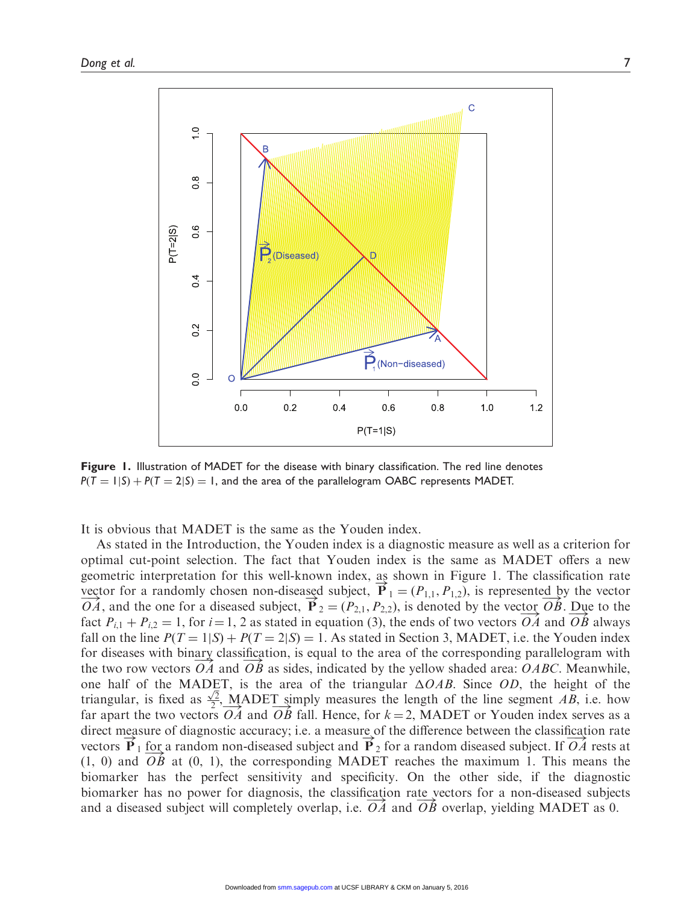

Figure 1. Illustration of MADET for the disease with binary classification. The red line denotes  $P(T = 1|S) + P(T = 2|S) = 1$ , and the area of the parallelogram OABC represents MADET.

It is obvious that MADET is the same as the Youden index.

As stated in the Introduction, the Youden index is a diagnostic measure as well as a criterion for optimal cut-point selection. The fact that Youden index is the same as MADET offers a new geometric interpretation for this well-known index, as shown in Figure 1. The classification rate vector for a randomly chosen non-diseased subject,  $\mathbf{P}_1 = (P_{1,1}, P_{1,2})$ , is represented by the vector  $\overrightarrow{OA}$ , and the one for a diseased subject,  $\overrightarrow{P}_2 = (P_{2,1}, P_{2,2})$ , is denoted by the vector  $\overrightarrow{OB}$ . Due to the  $\sigma A$ , and the one for a diseased subject,  $\mathbf{r}_2 = (\mathbf{r}_2, \mathbf{r}_1, \mathbf{r}_2, \mathbf{r}_2)$ , is denoted by the vector  $\overrightarrow{OA}$  and  $\overrightarrow{OB}$  always fact  $P_{i,1} + P_{i,2} = 1$ , for  $i = 1, 2$  as stated in equation (3), the ends of tw fall on the line  $P(T = 1|S) + P(T = 2|S) = 1$ . As stated in Section 3, MADET, i.e. the Youden index for diseases with binary classification, is equal to the area of the corresponding parallelogram with tor diseases with omary classification, is equal to the area of the corresponding paranetogram with the two row vectors  $\overrightarrow{OA}$  and  $\overrightarrow{OB}$  as sides, indicated by the yellow shaded area:  $OABC$ . Meanwhile, one half of the MADET, is the area of the triangular  $\triangle OAB$ . Since OD, the height of the triangular, is fixed as  $\frac{\sqrt{2}}{2}$ , MADET simply measures the length of the line segment AB, i.e. how triangular, is fixed as  $\frac{1}{2}$ , MADET simply incastries the length of the line segment AD, i.e. now<br>far apart the two vectors  $\overrightarrow{OA}$  and  $\overrightarrow{OB}$  fall. Hence, for  $k = 2$ , MADET or Youden index serves as a direct measure of diagnostic accuracy; i.e. a measure of the difference between the classification rate vectors  $\overrightarrow{P}_1$  for a random non-diseased subject and  $\overrightarrow{P}_2$  for a random diseased subject. If  $\overrightarrow{OA}$  rests at (1, 0) and  $\overrightarrow{OB}$  at (0, 1), the corresponding MADET reaches the maximum 1. This means the biomarker has the perfect sensitivity and specificity. On the other side, if the diagnostic biomarker has no power for diagnosis, the classification rate vectors for a non-diseased subjects biomarket has no power for diagnosis, the classification rate vectors for a non-diseased subject will completely overlap, i.e.  $\overrightarrow{OA}$  and  $\overrightarrow{OB}$  overlap, yielding MADET as 0.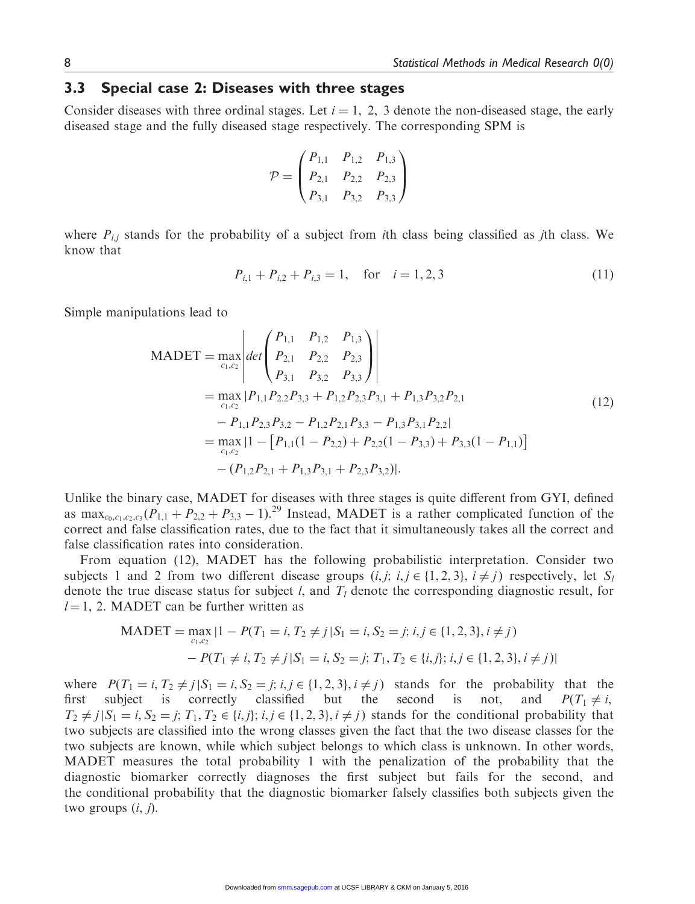# 3.3 Special case 2: Diseases with three stages

Consider diseases with three ordinal stages. Let  $i = 1, 2, 3$  denote the non-diseased stage, the early diseased stage and the fully diseased stage respectively. The corresponding SPM is

$$
\mathcal{P} = \begin{pmatrix} P_{1,1} & P_{1,2} & P_{1,3} \\ P_{2,1} & P_{2,2} & P_{2,3} \\ P_{3,1} & P_{3,2} & P_{3,3} \end{pmatrix}
$$

where  $P_{i,j}$  stands for the probability of a subject from *i*th class being classified as *j*th class. We know that

$$
P_{i,1} + P_{i,2} + P_{i,3} = 1, \quad \text{for} \quad i = 1, 2, 3 \tag{11}
$$

Simple manipulations lead to

$$
MADET = \max_{c_1, c_2} \left| \det \begin{pmatrix} P_{1,1} & P_{1,2} & P_{1,3} \\ P_{2,1} & P_{2,2} & P_{2,3} \\ P_{3,1} & P_{3,2} & P_{3,3} \end{pmatrix} \right|
$$
  
=  $\max_{c_1, c_2} |P_{1,1}P_{2,2}P_{3,3} + P_{1,2}P_{2,3}P_{3,1} + P_{1,3}P_{3,2}P_{2,1}$   
=  $P_{1,1}P_{2,3}P_{3,2} - P_{1,2}P_{2,1}P_{3,3} - P_{1,3}P_{3,1}P_{2,2}|$   
=  $\max_{c_1, c_2} |1 - [P_{1,1}(1 - P_{2,2}) + P_{2,2}(1 - P_{3,3}) + P_{3,3}(1 - P_{1,1})]$   
-  $(P_{1,2}P_{2,1} + P_{1,3}P_{3,1} + P_{2,3}P_{3,2})|.$  (12)

Unlike the binary case, MADET for diseases with three stages is quite different from GYI, defined as max<sub>c<sub>0,c1,c2,c3</sub>  $(P_{1,1} + P_{2,2} + P_{3,3} - 1)$ <sup>29</sup> Instead, MADET is a rather complicated function of the</sub> correct and false classification rates, due to the fact that it simultaneously takes all the correct and false classification rates into consideration.

From equation (12), MADET has the following probabilistic interpretation. Consider two subjects 1 and 2 from two different disease groups  $(i, j; i, j \in \{1, 2, 3\}, i \neq j)$  respectively, let  $S_i$ denote the true disease status for subject *l*, and  $T_l$  denote the corresponding diagnostic result, for  $l = 1$ , 2. MADET can be further written as

$$
\begin{aligned} \text{MADET} &= \max_{c_1, c_2} |1 - P(T_1 = i, T_2 \neq j | S_1 = i, S_2 = j; \, i, j \in \{1, 2, 3\}, i \neq j) \\ &- P(T_1 \neq i, T_2 \neq j | S_1 = i, S_2 = j; \, T_1, T_2 \in \{i, j\}; \, i, j \in \{1, 2, 3\}, i \neq j) | \end{aligned}
$$

where  $P(T_1 = i, T_2 \neq j | S_1 = i, S_2 = j; i, j \in \{1, 2, 3\}, i \neq j)$  stands for the probability that the first subject is correctly classified but the second is not, and  $P(T_1 \neq i,$  $T_2 \neq j | S_1 = i, S_2 = j; T_1, T_2 \in \{i, j\}; i, j \in \{1, 2, 3\}, i \neq j$  stands for the conditional probability that two subjects are classified into the wrong classes given the fact that the two disease classes for the two subjects are known, while which subject belongs to which class is unknown. In other words, MADET measures the total probability 1 with the penalization of the probability that the diagnostic biomarker correctly diagnoses the first subject but fails for the second, and the conditional probability that the diagnostic biomarker falsely classifies both subjects given the two groups  $(i, j)$ .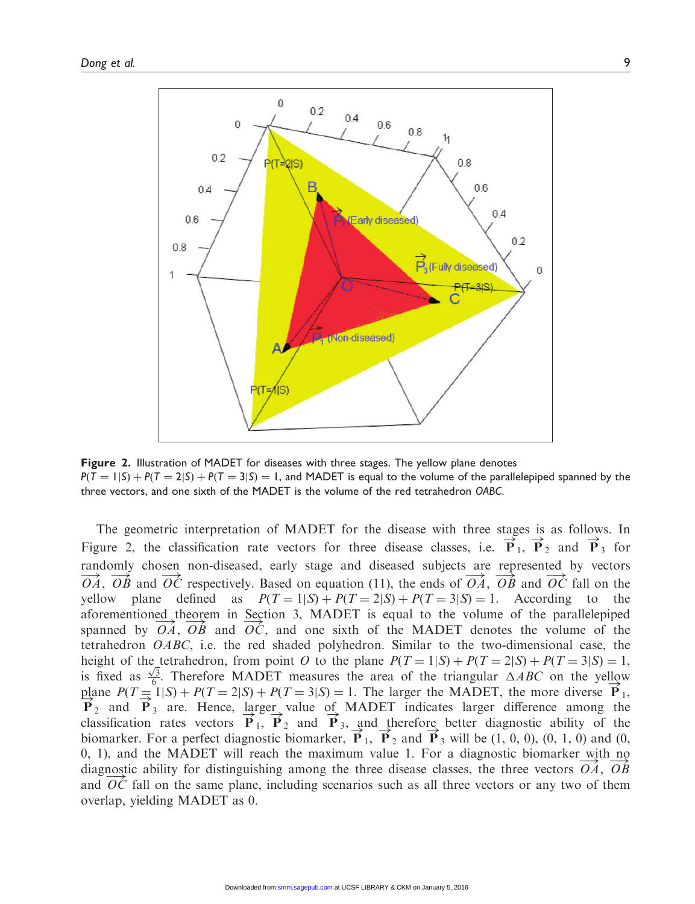

Figure 2. Illustration of MADET for diseases with three stages. The yellow plane denotes  $P(T = 1|S) + P(T = 2|S) + P(T = 3|S) = 1$ , and MADET is equal to the volume of the parallelepiped spanned by the three vectors, and one sixth of the MADET is the volume of the red tetrahedron OABC.

The geometric interpretation of MADET for the disease with three stages is as follows. In Figure 2, the classification rate vectors for three disease classes, i.e.  $\vec{P}_1$ ,  $\vec{P}_2$  and  $\vec{P}_3$  for randomly chosen non-diseased, early stage and diseased subjects are represented by vectors  $\overrightarrow{OA}$ ,  $\overrightarrow{OB}$  and  $\overrightarrow{OC}$  respectively. Based on equation (11), the ends of  $\overrightarrow{OA}$ ,  $\overrightarrow{OB}$  and  $\overrightarrow{OC}$  fall on the yellow plane defined as  $P(T=1|S) + P(T=2|S) + P(T=3|S) = 1$ . According to the aforementioned theorem in Section 3, MADET is equal to the volume of the parallelepiped spanned by  $\overrightarrow{OA}$ ,  $\overrightarrow{OB}$  and  $\overrightarrow{OC}$ , and one sixth of the MADET denotes the volume of the tetrahedron OABC, i.e. the red shaded polyhedron. Similar to the two-dimensional case, the height of the tetrahedron, from point O to the plane  $P(T = 1|S) + P(T = 2|S) + P(T = 3|S) = 1$ , lieight of the tetraneorm, from point *O* to the plane  $P(T = 1|S) + P(T = 2|S) + P(T = 3|S) = 1$ , is fixed as  $\frac{\sqrt{3}}{6}$ . Therefore MADET measures the area of the triangular  $\triangle ABC$  on the yellow plane  $P(T=1|S) + P(T=2|S) + P(T=3|S) = 1$ . The larger the MADET, the more diverse  $\overrightarrow{P}_1$ ,  $\overrightarrow{P}_2$  and  $\overrightarrow{P}_3$  are. Hence, larger value of MADET indicates larger difference among the classification rates vectors  $\overrightarrow{P}_1$ ,  $\overrightarrow{P}_2$  and  $\overrightarrow{P}_3$ , and therefore better diagnostic ability of the biomarker. For a perfect diagnostic biomarker,  $\vec{P}_1$ ,  $\vec{P}_2$  and  $\vec{P}_3$  will be (1, 0, 0), (0, 1, 0) and (0, 0, 1), and the MADET will reach the maximum value 1. For a diagnostic biomarker with no diagnostic ability for distinguishing among the three disease classes, the three vectors  $\overrightarrow{OA}$ ,  $\overrightarrow{OB}$ , and  $\overrightarrow{OC}$  fall on the same plane, including scenarios such as all three vectors or any two of them overlap, yielding MADET as 0.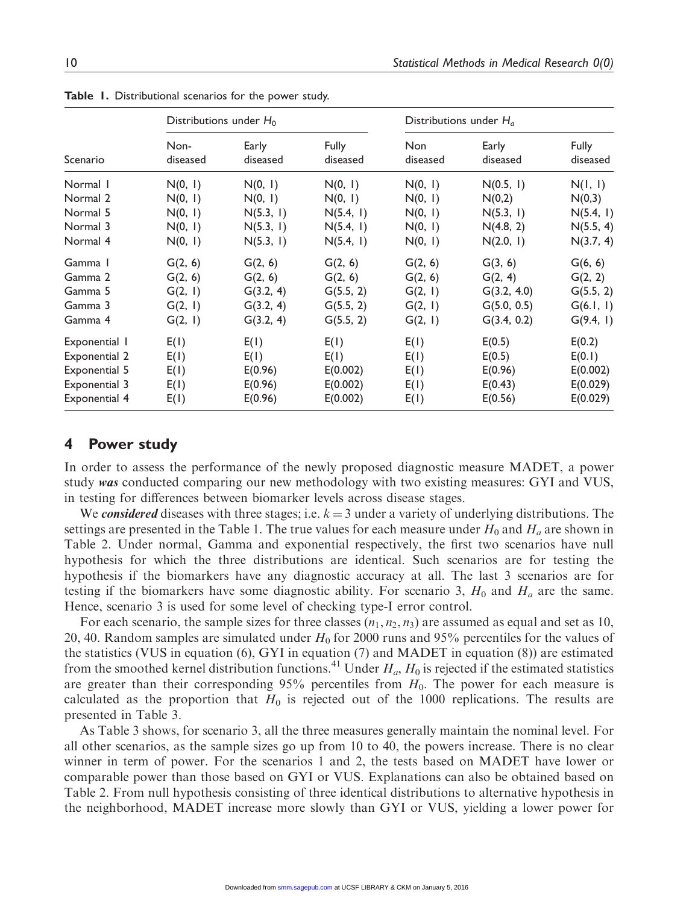|               | Distributions under $H_0$ |                   |                          | Distributions under $H_a$ |                   |                          |  |  |
|---------------|---------------------------|-------------------|--------------------------|---------------------------|-------------------|--------------------------|--|--|
| Scenario      | Non-<br>diseased          | Early<br>diseased | <b>Fully</b><br>diseased | Non<br>diseased           | Early<br>diseased | <b>Fully</b><br>diseased |  |  |
| Normal 1      | N(0, 1)                   | N(0, 1)           | N(0, 1)                  | N(0, 1)                   | N(0.5, 1)         | N(I, I)                  |  |  |
| Normal 2      | N(0, 1)                   | N(0, 1)           | N(0, 1)                  | N(0, 1)                   | N(0,2)            | N(0,3)                   |  |  |
| Normal 5      | N(0, 1)                   | N(5.3, 1)         | N(5.4, 1)                | N(0, 1)                   | N(5.3, 1)         | N(5.4, 1)                |  |  |
| Normal 3      | N(0, 1)                   | N(5.3, 1)         | N(5.4, 1)                | N(0, 1)                   | N(4.8, 2)         | N(5.5, 4)                |  |  |
| Normal 4      | N(0, 1)                   | N(5.3, 1)         | N(5.4, 1)                | N(0, 1)                   | N(2.0, 1)         | N(3.7, 4)                |  |  |
| Gamma 1       | G(2, 6)                   | G(2, 6)           | G(2, 6)                  | G(2, 6)                   | G(3, 6)           | G(6, 6)                  |  |  |
| Gamma 2       | G(2, 6)                   | G(2, 6)           | G(2, 6)                  | G(2, 6)                   | G(2, 4)           | G(2, 2)                  |  |  |
| Gamma 5       | G(2, 1)                   | G(3.2, 4)         | G(5.5, 2)                | G(2, 1)                   | G(3.2, 4.0)       | G(5.5, 2)                |  |  |
| Gamma 3       | G(2, 1)                   | G(3.2, 4)         | G(5.5, 2)                | G(2, 1)                   | G(5.0, 0.5)       | G(6.1, 1)                |  |  |
| Gamma 4       | G(2, 1)                   | G(3.2, 4)         | G(5.5, 2)                | G(2, 1)                   | G(3.4, 0.2)       | G(9.4, 1)                |  |  |
| Exponential I | E(1)                      | E(1)              | E(1)                     | E(1)                      | E(0.5)            | E(0.2)                   |  |  |
| Exponential 2 | E(1)                      | E(1)              | E(1)                     | E(1)                      | E(0.5)            | E(0.1)                   |  |  |
| Exponential 5 | E(I)                      | E(0.96)           | E(0.002)                 | E(1)                      | E(0.96)           | E(0.002)                 |  |  |
| Exponential 3 | E(I)                      | E(0.96)           | E(0.002)                 | E(1)                      | E(0.43)           | E(0.029)                 |  |  |
| Exponential 4 | E(I)                      | E(0.96)           | E(0.002)                 | E(I)                      | E(0.56)           | E(0.029)                 |  |  |

Table 1. Distributional scenarios for the power study.

## 4 Power study

In order to assess the performance of the newly proposed diagnostic measure MADET, a power study was conducted comparing our new methodology with two existing measures: GYI and VUS, in testing for differences between biomarker levels across disease stages.

We considered diseases with three stages; i.e.  $k = 3$  under a variety of underlying distributions. The settings are presented in the Table 1. The true values for each measure under  $H_0$  and  $H_a$  are shown in Table 2. Under normal, Gamma and exponential respectively, the first two scenarios have null hypothesis for which the three distributions are identical. Such scenarios are for testing the hypothesis if the biomarkers have any diagnostic accuracy at all. The last 3 scenarios are for testing if the biomarkers have some diagnostic ability. For scenario 3,  $H_0$  and  $H_a$  are the same. Hence, scenario 3 is used for some level of checking type-I error control.

For each scenario, the sample sizes for three classes  $(n_1, n_2, n_3)$  are assumed as equal and set as 10, 20, 40. Random samples are simulated under  $H_0$  for 2000 runs and 95% percentiles for the values of the statistics (VUS in equation (6), GYI in equation (7) and MADET in equation (8)) are estimated from the smoothed kernel distribution functions.<sup>41</sup> Under  $H_a$ ,  $H_0$  is rejected if the estimated statistics are greater than their corresponding 95% percentiles from  $H_0$ . The power for each measure is calculated as the proportion that  $H_0$  is rejected out of the 1000 replications. The results are presented in Table 3.

As Table 3 shows, for scenario 3, all the three measures generally maintain the nominal level. For all other scenarios, as the sample sizes go up from 10 to 40, the powers increase. There is no clear winner in term of power. For the scenarios 1 and 2, the tests based on MADET have lower or comparable power than those based on GYI or VUS. Explanations can also be obtained based on Table 2. From null hypothesis consisting of three identical distributions to alternative hypothesis in the neighborhood, MADET increase more slowly than GYI or VUS, yielding a lower power for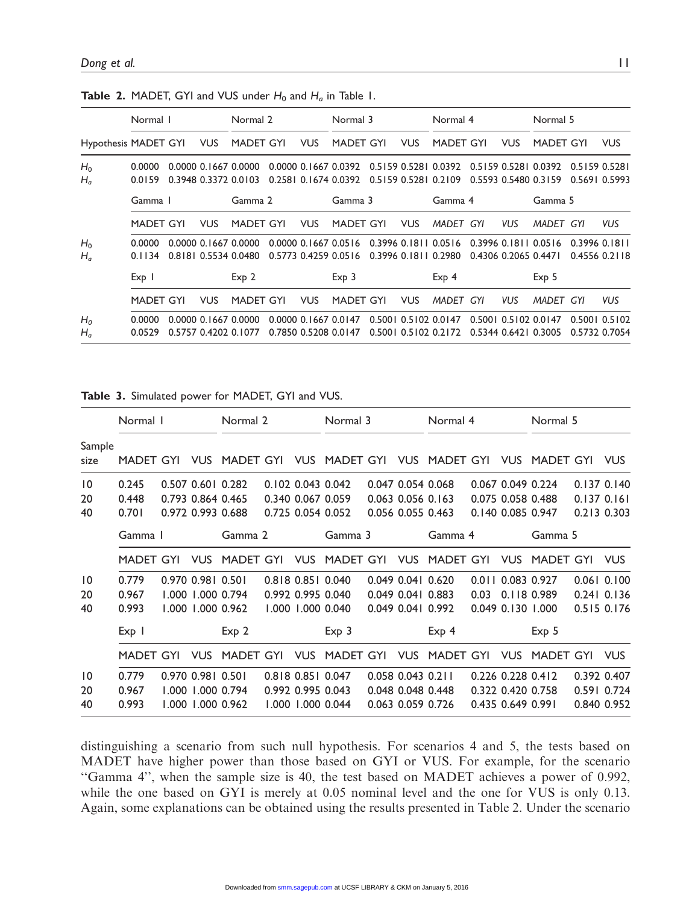|                      | Normal I         |            | Normal 2                                     |            | Normal 3                                     |            | Normal 4                                     |                      |            | Normal 5                                                                                             |                                |               |
|----------------------|------------------|------------|----------------------------------------------|------------|----------------------------------------------|------------|----------------------------------------------|----------------------|------------|------------------------------------------------------------------------------------------------------|--------------------------------|---------------|
| Hypothesis MADET GYI |                  | <b>VUS</b> | <b>MADET GYI</b>                             | <b>VUS</b> | <b>MADET GYI</b>                             | <b>VUS</b> | <b>MADET GYI</b>                             |                      | <b>VUS</b> | <b>MADET GYI</b>                                                                                     |                                | <b>VUS</b>    |
| $H_0$<br>$H_a$       | 0.0000<br>0.0159 |            | 0.0000 0.1667 0.0000<br>0.3948 0.3372 0.0103 |            | 0.2581 0.1674 0.0392                         |            | 0.5159 0.5281 0.2109                         |                      |            | 0.0000 0.1667 0.0392 0.5159 0.5281 0.0392 0.5159 0.5281 0.0392 0.5159 0.5281<br>0.5593 0.5480 0.3159 | 0.5691 0.5993                  |               |
|                      | Gamma 1          |            | Gamma 2                                      |            | Gamma 3                                      |            | Gamma 4                                      |                      |            | Gamma 5                                                                                              |                                |               |
|                      | <b>MADET GYI</b> | VUS.       | <b>MADET GYI</b>                             | <b>VUS</b> | <b>MADET GYI</b>                             | <b>VUS</b> | MADET GYI                                    |                      | <b>VUS</b> | MADET GYI                                                                                            |                                | <b>VUS</b>    |
| $H_0$<br>$H_a$       | 0.0000<br>0.1134 |            | 0.0000 0.1667 0.0000<br>0.8181 0.5534 0.0480 |            | 0.0000 0.1667 0.0516<br>0.5773 0.4259 0.0516 |            | 0.3996 0.1811 0.0516<br>0.3996 0.1811 0.2980 | 0.4306 0.2065 0.4471 |            | 0.3996 0.1811 0.0516                                                                                 | 0.3996 0.1811                  | 0.4556 0.2118 |
|                      | Exp <sub>1</sub> |            | Exp <sub>2</sub>                             |            | Exp <sub>3</sub>                             |            | Exp <sub>4</sub>                             |                      |            | Exp <sub>5</sub>                                                                                     |                                |               |
|                      | <b>MADET GYI</b> | <b>VUS</b> | <b>MADET GYI</b>                             | <b>VUS</b> | <b>MADET GYI</b>                             | <b>VUS</b> | <b>MADET</b>                                 | GYI                  | <b>VUS</b> | <b>MADET</b>                                                                                         | GYI                            | <b>VUS</b>    |
| $H_0$<br>$H_a$       | 0.0000<br>0.0529 |            | 0.0000 0.1667 0.0000<br>0.5757 0.4202 0.1077 |            | 0.0000 0.1667 0.0147<br>0.7850 0.5208 0.0147 |            | 0.5001 0.5102 0.0147<br>0.5001 0.5102 0.2172 |                      |            | 0.5001 0.5102 0.0147<br>0.5344 0.6421 0.3005                                                         | 0.5001 0.5102<br>0.5732 0.7054 |               |

**Table 2.** MADET, GYI and VUS under  $H_0$  and  $H_a$  in Table 1.

Table 3. Simulated power for MADET, GYI and VUS.

|                 | Normal I         |                   | Normal 2          |                   | Normal 3          |                   | Normal 4             |      |                   | Normal 5      |             |                 |
|-----------------|------------------|-------------------|-------------------|-------------------|-------------------|-------------------|----------------------|------|-------------------|---------------|-------------|-----------------|
| Sample<br>size  | MADET GYI        | <b>VUS</b>        | MADET GYI         | <b>VUS</b>        | MADET GYI VUS     |                   | MADET GYL            |      | <b>VUS</b>        | MADET GYI VUS |             |                 |
| $\overline{10}$ | 0.245            | 0.507 0.601 0.282 |                   |                   | 0.102 0.043 0.042 | 0.047 0.054 0.068 |                      |      | 0.067 0.049 0.224 |               |             | $0.137$ $0.140$ |
| 20              | 0.448            | 0.793 0.864 0.465 |                   | 0.340 0.067 0.059 |                   | 0.063 0.056 0.163 |                      |      | 0.075 0.058 0.488 |               | 0.1370.161  |                 |
| 40              | 0.701            |                   | 0.972 0.993 0.688 |                   | 0.725 0.054 0.052 | 0.056 0.055 0.463 |                      |      | 0.140 0.085 0.947 |               |             | 0.213 0.303     |
|                 | Gamma 1          |                   | Gamma 2           |                   | Gamma 3           |                   | Gamma 4              |      |                   | Gamma 5       |             |                 |
|                 | MADET GYI        | <b>VUS</b>        | <b>MADET GYI</b>  | <b>VUS</b>        | <b>MADET GYI</b>  | <b>VUS</b>        | <b>MADET GYI</b>     |      | <b>VUS</b>        | MADET GYI     |             | <b>VUS</b>      |
| $\overline{10}$ | 0.779            | 0.970 0.981 0.501 |                   |                   | 0.818 0.851 0.040 |                   | 0.049 0.041 0.620    |      | 0.011 0.083 0.927 |               |             | $0.061$ $0.100$ |
| 20              | 0.967            | 1.000 1.000 0.794 |                   |                   | 0.992 0.995 0.040 | 0.049 0.041 0.883 |                      | 0.03 |                   | 0.118 0.989   |             | $0.241$ $0.136$ |
| 40              | 0.993            | 1.000 1.000 0.962 |                   | 1.000 1.000 0.040 |                   | 0.049 0.041 0.992 |                      |      | 0.049 0.130 1.000 |               |             | 0.515 0.176     |
|                 | Exp <sub>1</sub> |                   | Exp <sub>2</sub>  |                   | Exp <sub>3</sub>  |                   | Exp <sub>4</sub>     |      |                   | Exp 5         |             |                 |
|                 | MADET GYI        | <b>VUS</b>        | MADET GYI         | <b>VUS</b>        | <b>MADET GYI</b>  |                   | <b>VUS MADET GYI</b> |      | <b>VUS</b>        | MADET GYI     |             | <b>VUS</b>      |
| $\overline{10}$ | 0.779            | 0.970 0.981 0.501 |                   | 0.818 0.851 0.047 |                   | 0.058 0.043 0.211 |                      |      | 0.226 0.228 0.412 |               | 0.392 0.407 |                 |
| 20              | 0.967            | 1.000 1.000 0.794 |                   | 0.992 0.995 0.043 |                   | 0.048 0.048 0.448 |                      |      | 0.322 0.420 0.758 |               |             | 0.591 0.724     |
| 40              | 0.993            | 1.000 1.000 0.962 |                   |                   | 1.000 1.000 0.044 | 0.063 0.059 0.726 |                      |      | 0.435 0.649 0.991 |               |             | 0.840 0.952     |

distinguishing a scenario from such null hypothesis. For scenarios 4 and 5, the tests based on MADET have higher power than those based on GYI or VUS. For example, for the scenario ''Gamma 4'', when the sample size is 40, the test based on MADET achieves a power of 0.992, while the one based on GYI is merely at 0.05 nominal level and the one for VUS is only 0.13. Again, some explanations can be obtained using the results presented in Table 2. Under the scenario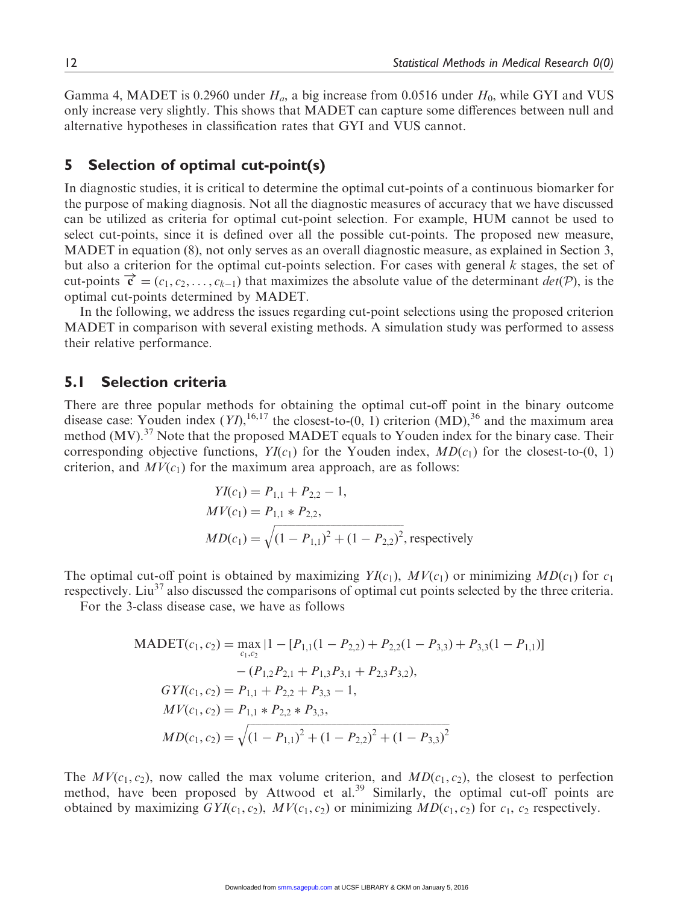Gamma 4, MADET is 0.2960 under  $H<sub>a</sub>$ , a big increase from 0.0516 under  $H<sub>0</sub>$ , while GYI and VUS only increase very slightly. This shows that MADET can capture some differences between null and alternative hypotheses in classification rates that GYI and VUS cannot.

# 5 Selection of optimal cut-point(s)

In diagnostic studies, it is critical to determine the optimal cut-points of a continuous biomarker for the purpose of making diagnosis. Not all the diagnostic measures of accuracy that we have discussed can be utilized as criteria for optimal cut-point selection. For example, HUM cannot be used to select cut-points, since it is defined over all the possible cut-points. The proposed new measure, MADET in equation (8), not only serves as an overall diagnostic measure, as explained in Section 3, but also a criterion for the optimal cut-points selection. For cases with general k stages, the set of cut-points  $\vec{c} = (c_1, c_2, \dots, c_{k-1})$  that maximizes the absolute value of the determinant  $det(\mathcal{P})$ , is the optimal cut-points determined by MADET.

In the following, we address the issues regarding cut-point selections using the proposed criterion MADET in comparison with several existing methods. A simulation study was performed to assess their relative performance.

# 5.1 Selection criteria

There are three popular methods for obtaining the optimal cut-off point in the binary outcome disease case: Youden index  $(YI)$ ,  $^{16,17}$  the closest-to- $(0, 1)$  criterion  $(MD)$ ,  $^{36}$  and the maximum area method  $(MV)$ .<sup>37</sup> Note that the proposed MADET equals to Youden index for the binary case. Their corresponding objective functions,  $YI(c_1)$  for the Youden index,  $MD(c_1)$  for the closest-to-(0, 1) criterion, and  $MV(c_1)$  for the maximum area approach, are as follows:

$$
YI(c_1) = P_{1,1} + P_{2,2} - 1,
$$
  
\n
$$
MV(c_1) = P_{1,1} * P_{2,2},
$$
  
\n
$$
MD(c_1) = \sqrt{(1 - P_{1,1})^2 + (1 - P_{2,2})^2}
$$
, respectively

The optimal cut-off point is obtained by maximizing  $YI(c_1)$ ,  $MV(c_1)$  or minimizing  $MD(c_1)$  for  $c_1$ respectively. Liu<sup>37</sup> also discussed the comparisons of optimal cut points selected by the three criteria.

For the 3-class disease case, we have as follows

$$
\begin{aligned} \text{MADET}(c_1, c_2) &= \max_{c_1, c_2} \left[ 1 - \left[ P_{1,1} (1 - P_{2,2}) + P_{2,2} (1 - P_{3,3}) + P_{3,3} (1 - P_{1,1}) \right] \\ &- (P_{1,2} P_{2,1} + P_{1,3} P_{3,1} + P_{2,3} P_{3,2}), \\ \text{GYI}(c_1, c_2) &= P_{1,1} + P_{2,2} + P_{3,3} - 1, \\ \text{MV}(c_1, c_2) &= P_{1,1} * P_{2,2} * P_{3,3}, \\ \text{MD}(c_1, c_2) &= \sqrt{(1 - P_{1,1})^2 + (1 - P_{2,2})^2 + (1 - P_{3,3})^2} \end{aligned}
$$

The  $MV(c_1, c_2)$ , now called the max volume criterion, and  $MD(c_1, c_2)$ , the closest to perfection method, have been proposed by Attwood et al.<sup>39</sup> Similarly, the optimal cut-off points are obtained by maximizing  $GYI(c_1, c_2)$ ,  $MV(c_1, c_2)$  or minimizing  $MD(c_1, c_2)$  for  $c_1$ ,  $c_2$  respectively.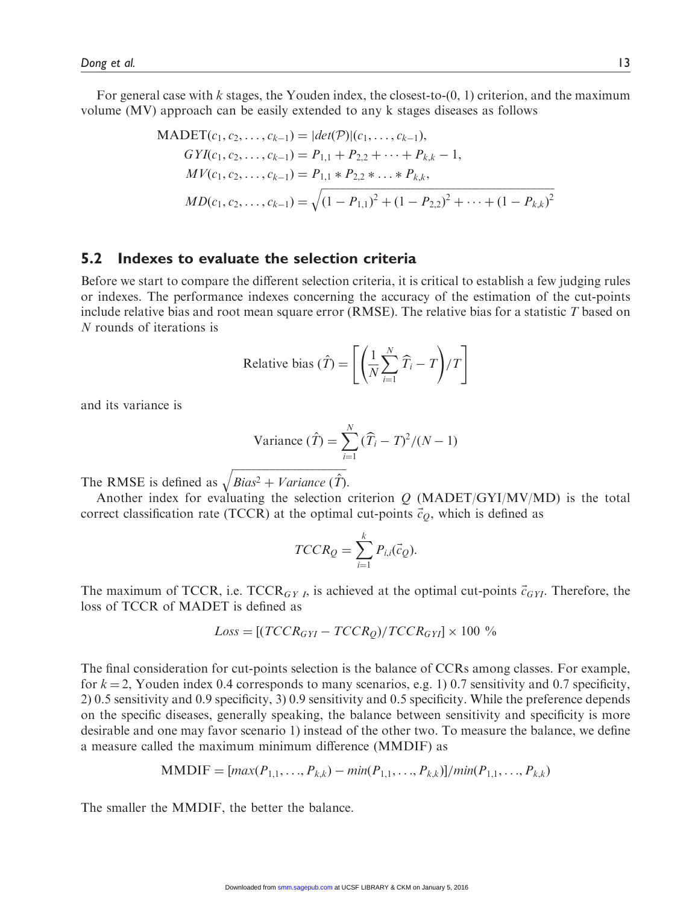For general case with k stages, the Youden index, the closest-to- $(0, 1)$  criterion, and the maximum volume (MV) approach can be easily extended to any k stages diseases as follows

$$
\begin{aligned} \text{MADET}(c_1, c_2, \dots, c_{k-1}) &= |det(\mathcal{P})|(c_1, \dots, c_{k-1}),\\ \text{GYI}(c_1, c_2, \dots, c_{k-1}) &= P_{1,1} + P_{2,2} + \dots + P_{k,k} - 1,\\ \text{MV}(c_1, c_2, \dots, c_{k-1}) &= P_{1,1} * P_{2,2} * \dots * P_{k,k},\\ \text{MD}(c_1, c_2, \dots, c_{k-1}) &= \sqrt{(1 - P_{1,1})^2 + (1 - P_{2,2})^2 + \dots + (1 - P_{k,k})^2} \end{aligned}
$$

# 5.2 Indexes to evaluate the selection criteria

Before we start to compare the different selection criteria, it is critical to establish a few judging rules or indexes. The performance indexes concerning the accuracy of the estimation of the cut-points include relative bias and root mean square error (RMSE). The relative bias for a statistic  $T$  based on N rounds of iterations is

Relative bias 
$$
(\hat{T}) = \left[ \left( \frac{1}{N} \sum_{i=1}^{N} \hat{T}_i - T \right) / T \right]
$$

and its variance is

Variance 
$$
(\hat{T}) = \sum_{i=1}^{N} (\hat{T}_i - T)^2 / (N - 1)
$$

The RMSE is defined as ffiffiffiffiffiffiffiffiffiffiffiffiffiffiffiffiffiffiffiffiffiffiffiffiffiffiffiffiffiffiffiffiffiffiffiffiffiffiffiffiffiffi  $Bias^2 + Variance \; (\hat{T})$  $\overline{1}$ .

Another index for evaluating the selection criterion  $Q$  (MADET/GYI/MV/MD) is the total correct classification rate (TCCR) at the optimal cut-points  $\vec{c}_Q$ , which is defined as

$$
TCCR_Q = \sum_{i=1}^{k} P_{i,i}(\vec{c}_Q).
$$

The maximum of TCCR, i.e.  $TCCR_{GY}$ , is achieved at the optimal cut-points  $\vec{c}_{GY}$ . Therefore, the loss of TCCR of MADET is defined as

$$
Loss = [(TCCR_{GYI} - TCCR_Q)/TCCR_{GYI}] \times 100\%
$$

The final consideration for cut-points selection is the balance of CCRs among classes. For example, for  $k = 2$ , Youden index 0.4 corresponds to many scenarios, e.g. 1) 0.7 sensitivity and 0.7 specificity, 2) 0.5 sensitivity and 0.9 specificity, 3) 0.9 sensitivity and 0.5 specificity. While the preference depends on the specific diseases, generally speaking, the balance between sensitivity and specificity is more desirable and one may favor scenario 1) instead of the other two. To measure the balance, we define a measure called the maximum minimum difference (MMDIF) as

MMDIF = 
$$
[max(P_{1,1},...,P_{k,k}) - min(P_{1,1},...,P_{k,k})]/min(P_{1,1},...,P_{k,k})
$$

The smaller the MMDIF, the better the balance.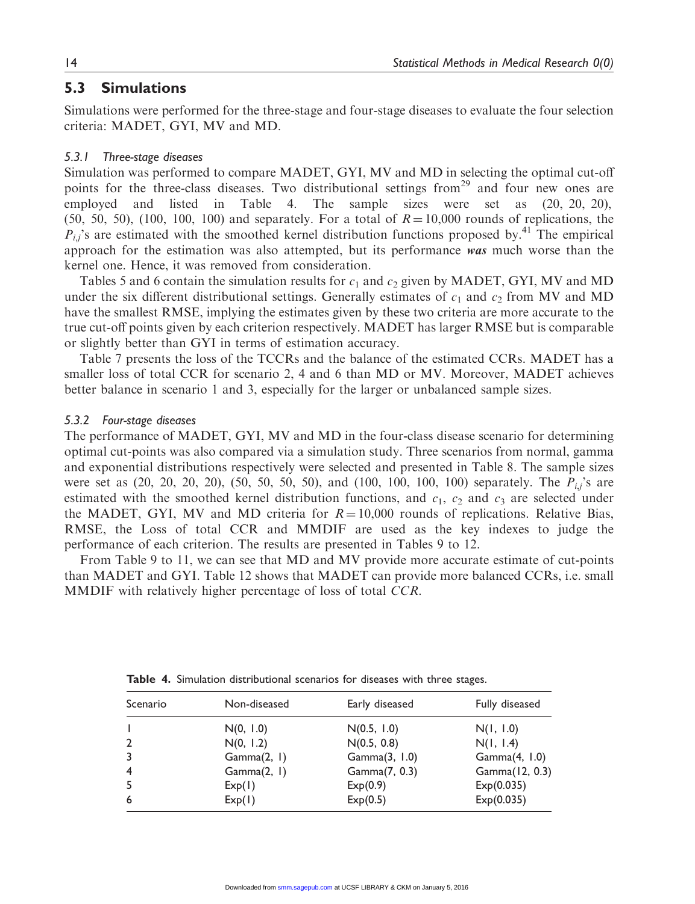## 5.3 Simulations

Simulations were performed for the three-stage and four-stage diseases to evaluate the four selection criteria: MADET, GYI, MV and MD.

#### 5.3.1 Three-stage diseases

Simulation was performed to compare MADET, GYI, MV and MD in selecting the optimal cut-off points for the three-class diseases. Two distributional settings from<sup>29</sup> and four new ones are employed and listed in Table 4. The sample sizes were set as  $(20, 20, 20)$ ,  $(50, 50, 50)$ ,  $(100, 100, 100)$  and separately. For a total of  $R = 10,000$  rounds of replications, the  $P_{i,j}$ 's are estimated with the smoothed kernel distribution functions proposed by.<sup>41</sup> The empirical approach for the estimation was also attempted, but its performance was much worse than the kernel one. Hence, it was removed from consideration.

Tables 5 and 6 contain the simulation results for  $c_1$  and  $c_2$  given by MADET, GYI, MV and MD under the six different distributional settings. Generally estimates of  $c_1$  and  $c_2$  from MV and MD have the smallest RMSE, implying the estimates given by these two criteria are more accurate to the true cut-off points given by each criterion respectively. MADET has larger RMSE but is comparable or slightly better than GYI in terms of estimation accuracy.

Table 7 presents the loss of the TCCRs and the balance of the estimated CCRs. MADET has a smaller loss of total CCR for scenario 2, 4 and 6 than MD or MV. Moreover, MADET achieves better balance in scenario 1 and 3, especially for the larger or unbalanced sample sizes.

#### 5.3.2 Four-stage diseases

The performance of MADET, GYI, MV and MD in the four-class disease scenario for determining optimal cut-points was also compared via a simulation study. Three scenarios from normal, gamma and exponential distributions respectively were selected and presented in Table 8. The sample sizes were set as  $(20, 20, 20, 20)$ ,  $(50, 50, 50, 50)$ , and  $(100, 100, 100, 100)$  separately. The  $P_{i,j}$ 's are estimated with the smoothed kernel distribution functions, and  $c_1$ ,  $c_2$  and  $c_3$  are selected under the MADET, GYI, MV and MD criteria for  $R = 10,000$  rounds of replications. Relative Bias, RMSE, the Loss of total CCR and MMDIF are used as the key indexes to judge the performance of each criterion. The results are presented in Tables 9 to 12.

From Table 9 to 11, we can see that MD and MV provide more accurate estimate of cut-points than MADET and GYI. Table 12 shows that MADET can provide more balanced CCRs, i.e. small MMDIF with relatively higher percentage of loss of total CCR.

| Scenario       | Non-diseased | Early diseased | Fully diseased   |
|----------------|--------------|----------------|------------------|
|                | N(0, 1.0)    | N(0.5, 1.0)    | N(1, 1.0)        |
| $\overline{2}$ | N(0, 1.2)    | N(0.5, 0.8)    | N(1, 1.4)        |
| 3              | Gamma(2, 1)  | Gamma(3, 1.0)  | Gamma $(4, 1.0)$ |
| $\overline{4}$ | Gamma(2, 1)  | Gamma(7, 0.3)  | Gamma(12, 0.3)   |
| 5              | Exp(1)       | Exp(0.9)       | Exp(0.035)       |
| 6              | Exp(1)       | Exp(0.5)       | Exp(0.035)       |

Table 4. Simulation distributional scenarios for diseases with three stages.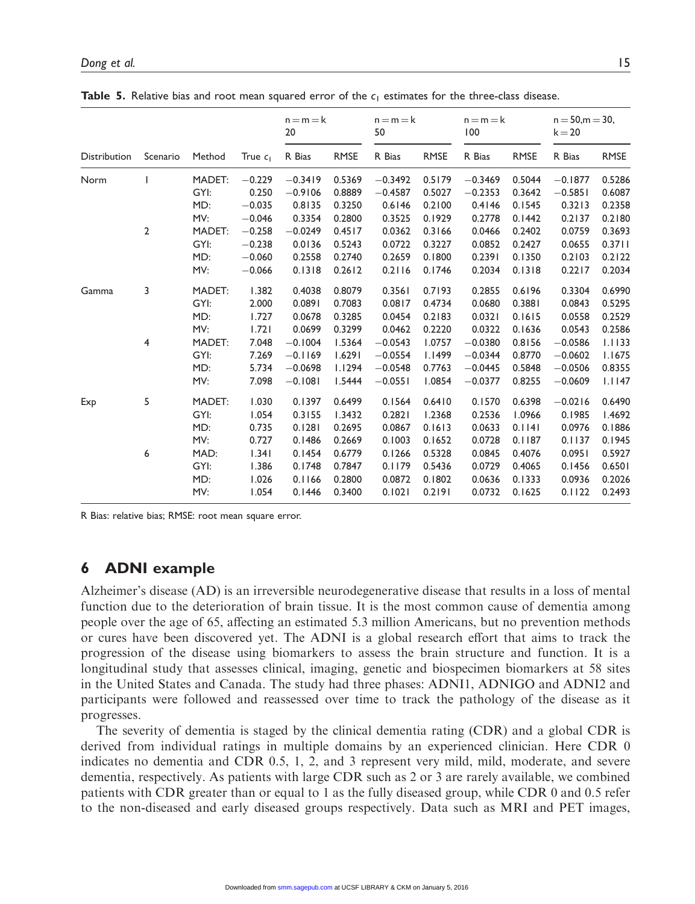|              |                |        |            | $n = m = k$<br>20 |             | $n = m = k$<br>50 |             | $n = m = k$<br>100 |             | $n = 50, m = 30,$<br>$k = 20$ |             |
|--------------|----------------|--------|------------|-------------------|-------------|-------------------|-------------|--------------------|-------------|-------------------------------|-------------|
| Distribution | Scenario       | Method | True $c_1$ | R Bias            | <b>RMSE</b> | R Bias            | <b>RMSE</b> | R Bias             | <b>RMSE</b> | R Bias                        | <b>RMSE</b> |
| Norm         |                | MADET: | $-0.229$   | $-0.3419$         | 0.5369      | $-0.3492$         | 0.5179      | $-0.3469$          | 0.5044      | $-0.1877$                     | 0.5286      |
|              |                | GYI:   | 0.250      | $-0.9106$         | 0.8889      | $-0.4587$         | 0.5027      | $-0.2353$          | 0.3642      | $-0.5851$                     | 0.6087      |
|              |                | MD:    | $-0.035$   | 0.8135            | 0.3250      | 0.6146            | 0.2100      | 0.4146             | 0.1545      | 0.3213                        | 0.2358      |
|              |                | MV:    | $-0.046$   | 0.3354            | 0.2800      | 0.3525            | 0.1929      | 0.2778             | 0.1442      | 0.2137                        | 0.2180      |
|              | $\overline{2}$ | MADET: | $-0.258$   | $-0.0249$         | 0.4517      | 0.0362            | 0.3166      | 0.0466             | 0.2402      | 0.0759                        | 0.3693      |
|              |                | GYI:   | $-0.238$   | 0.0136            | 0.5243      | 0.0722            | 0.3227      | 0.0852             | 0.2427      | 0.0655                        | 0.3711      |
|              |                | MD:    | $-0.060$   | 0.2558            | 0.2740      | 0.2659            | 0.1800      | 0.2391             | 0.1350      | 0.2103                        | 0.2122      |
|              |                | MV:    | $-0.066$   | 0.1318            | 0.2612      | 0.2116            | 0.1746      | 0.2034             | 0.1318      | 0.2217                        | 0.2034      |
| Gamma        | 3              | MADET: | 1.382      | 0.4038            | 0.8079      | 0.3561            | 0.7193      | 0.2855             | 0.6196      | 0.3304                        | 0.6990      |
|              |                | GYI:   | 2.000      | 0.0891            | 0.7083      | 0.0817            | 0.4734      | 0.0680             | 0.3881      | 0.0843                        | 0.5295      |
|              |                | MD:    | 1.727      | 0.0678            | 0.3285      | 0.0454            | 0.2183      | 0.0321             | 0.1615      | 0.0558                        | 0.2529      |
|              |                | MV:    | 1.721      | 0.0699            | 0.3299      | 0.0462            | 0.2220      | 0.0322             | 0.1636      | 0.0543                        | 0.2586      |
|              | 4              | MADET: | 7.048      | $-0.1004$         | 1.5364      | $-0.0543$         | 1.0757      | $-0.0380$          | 0.8156      | $-0.0586$                     | 1.1133      |
|              |                | GYI:   | 7.269      | $-0.1169$         | 1.6291      | $-0.0554$         | 1.1499      | $-0.0344$          | 0.8770      | $-0.0602$                     | 1.1675      |
|              |                | MD:    | 5.734      | $-0.0698$         | 1.1294      | $-0.0548$         | 0.7763      | $-0.0445$          | 0.5848      | $-0.0506$                     | 0.8355      |
|              |                | MV:    | 7.098      | $-0.1081$         | 1.5444      | $-0.0551$         | 1.0854      | $-0.0377$          | 0.8255      | $-0.0609$                     | 1.1147      |
| Exp          | 5              | MADET: | 1.030      | 0.1397            | 0.6499      | 0.1564            | 0.6410      | 0.1570             | 0.6398      | $-0.0216$                     | 0.6490      |
|              |                | GYI:   | 1.054      | 0.3155            | 1.3432      | 0.2821            | 1.2368      | 0.2536             | 1.0966      | 0.1985                        | 1.4692      |
|              |                | MD:    | 0.735      | 0.1281            | 0.2695      | 0.0867            | 0.1613      | 0.0633             | 0.1141      | 0.0976                        | 0.1886      |
|              |                | MV:    | 0.727      | 0.1486            | 0.2669      | 0.1003            | 0.1652      | 0.0728             | 0.1187      | 0.1137                        | 0.1945      |
|              | 6              | MAD:   | 1.341      | 0.1454            | 0.6779      | 0.1266            | 0.5328      | 0.0845             | 0.4076      | 0.0951                        | 0.5927      |
|              |                | GYI:   | 1.386      | 0.1748            | 0.7847      | 0.1179            | 0.5436      | 0.0729             | 0.4065      | 0.1456                        | 0.6501      |
|              |                | MD:    | 1.026      | 0.1166            | 0.2800      | 0.0872            | 0.1802      | 0.0636             | 0.1333      | 0.0936                        | 0.2026      |
|              |                | MV:    | 1.054      | 0.1446            | 0.3400      | 0.1021            | 0.2191      | 0.0732             | 0.1625      | 0.1122                        | 0.2493      |

**Table 5.** Relative bias and root mean squared error of the  $c_1$  estimates for the three-class disease.

R Bias: relative bias; RMSE: root mean square error.

# 6 ADNI example

Alzheimer's disease (AD) is an irreversible neurodegenerative disease that results in a loss of mental function due to the deterioration of brain tissue. It is the most common cause of dementia among people over the age of 65, affecting an estimated 5.3 million Americans, but no prevention methods or cures have been discovered yet. The ADNI is a global research effort that aims to track the progression of the disease using biomarkers to assess the brain structure and function. It is a longitudinal study that assesses clinical, imaging, genetic and biospecimen biomarkers at 58 sites in the United States and Canada. The study had three phases: ADNI1, ADNIGO and ADNI2 and participants were followed and reassessed over time to track the pathology of the disease as it progresses.

The severity of dementia is staged by the clinical dementia rating (CDR) and a global CDR is derived from individual ratings in multiple domains by an experienced clinician. Here CDR 0 indicates no dementia and CDR 0.5, 1, 2, and 3 represent very mild, mild, moderate, and severe dementia, respectively. As patients with large CDR such as 2 or 3 are rarely available, we combined patients with CDR greater than or equal to 1 as the fully diseased group, while CDR 0 and 0.5 refer to the non-diseased and early diseased groups respectively. Data such as MRI and PET images,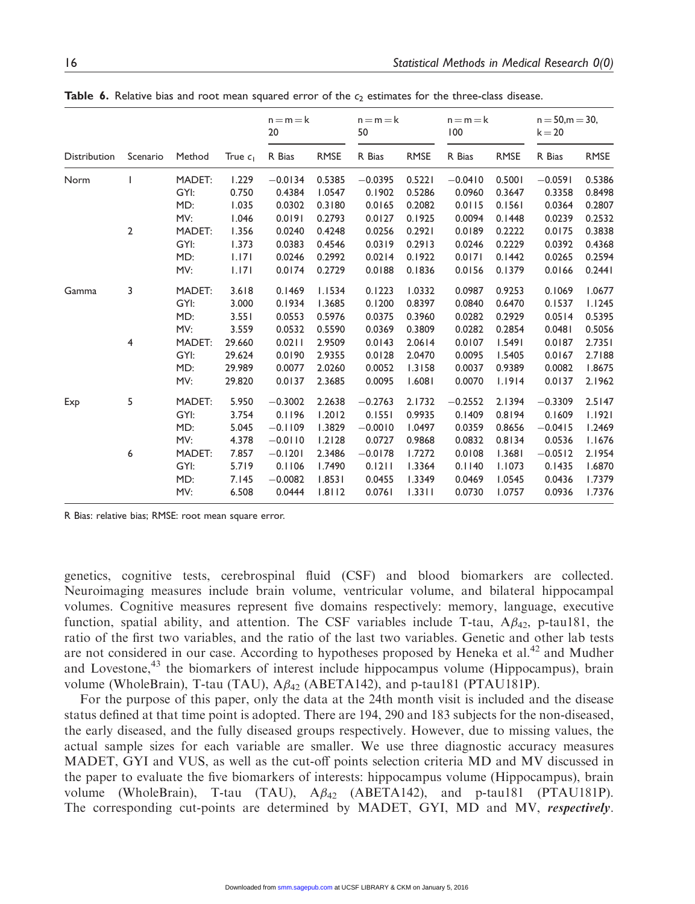|                     |              |        |            | $n = m = k$<br>20 |             | $n = m = k$<br>50 |             | $n = m = k$<br>100 |             | $n = 50, m = 30,$<br>$k = 20$ |             |
|---------------------|--------------|--------|------------|-------------------|-------------|-------------------|-------------|--------------------|-------------|-------------------------------|-------------|
| <b>Distribution</b> | Scenario     | Method | True $c_1$ | R Bias            | <b>RMSE</b> | R Bias            | <b>RMSE</b> | R Bias             | <b>RMSE</b> | R Bias                        | <b>RMSE</b> |
| Norm                |              | MADET: | 1.229      | $-0.0134$         | 0.5385      | $-0.0395$         | 0.5221      | $-0.0410$          | 0.5001      | $-0.0591$                     | 0.5386      |
|                     |              | GYI:   | 0.750      | 0.4384            | 1.0547      | 0.1902            | 0.5286      | 0.0960             | 0.3647      | 0.3358                        | 0.8498      |
|                     |              | MD:    | 1.035      | 0.0302            | 0.3180      | 0.0165            | 0.2082      | 0.0115             | 0.1561      | 0.0364                        | 0.2807      |
|                     |              | MV:    | 1.046      | 0.0191            | 0.2793      | 0.0127            | 0.1925      | 0.0094             | 0.1448      | 0.0239                        | 0.2532      |
|                     | $\mathbf{2}$ | MADET: | 1.356      | 0.0240            | 0.4248      | 0.0256            | 0.2921      | 0.0189             | 0.2222      | 0.0175                        | 0.3838      |
|                     |              | GYI:   | 1.373      | 0.0383            | 0.4546      | 0.0319            | 0.2913      | 0.0246             | 0.2229      | 0.0392                        | 0.4368      |
|                     |              | MD:    | 1.171      | 0.0246            | 0.2992      | 0.0214            | 0.1922      | 0.0171             | 0.1442      | 0.0265                        | 0.2594      |
|                     |              | MV:    | 1.171      | 0.0174            | 0.2729      | 0.0188            | 0.1836      | 0.0156             | 0.1379      | 0.0166                        | 0.2441      |
| Gamma               | 3            | MADET: | 3.618      | 0.1469            | 1.1534      | 0.1223            | 1.0332      | 0.0987             | 0.9253      | 0.1069                        | 1.0677      |
|                     |              | GYI:   | 3.000      | 0.1934            | 1.3685      | 0.1200            | 0.8397      | 0.0840             | 0.6470      | 0.1537                        | 1.1245      |
|                     |              | MD:    | 3.551      | 0.0553            | 0.5976      | 0.0375            | 0.3960      | 0.0282             | 0.2929      | 0.0514                        | 0.5395      |
|                     |              | MV:    | 3.559      | 0.0532            | 0.5590      | 0.0369            | 0.3809      | 0.0282             | 0.2854      | 0.0481                        | 0.5056      |
|                     | 4            | MADET: | 29.660     | 0.0211            | 2.9509      | 0.0143            | 2.0614      | 0.0107             | 1.5491      | 0.0187                        | 2.7351      |
|                     |              | GYI:   | 29.624     | 0.0190            | 2.9355      | 0.0128            | 2.0470      | 0.0095             | 1.5405      | 0.0167                        | 2.7188      |
|                     |              | MD:    | 29.989     | 0.0077            | 2.0260      | 0.0052            | 1.3158      | 0.0037             | 0.9389      | 0.0082                        | 1.8675      |
|                     |              | MV:    | 29.820     | 0.0137            | 2.3685      | 0.0095            | 1.6081      | 0.0070             | 1.1914      | 0.0137                        | 2.1962      |
| Exp                 | 5            | MADET: | 5.950      | $-0.3002$         | 2.2638      | $-0.2763$         | 2.1732      | $-0.2552$          | 2.1394      | $-0.3309$                     | 2.5147      |
|                     |              | GYI:   | 3.754      | 0.1196            | 1.2012      | 0.1551            | 0.9935      | 0.1409             | 0.8194      | 0.1609                        | 1.1921      |
|                     |              | MD:    | 5.045      | $-0.1109$         | 1.3829      | $-0.0010$         | 1.0497      | 0.0359             | 0.8656      | $-0.0415$                     | 1.2469      |
|                     |              | MV:    | 4.378      | $-0.0110$         | 1.2128      | 0.0727            | 0.9868      | 0.0832             | 0.8134      | 0.0536                        | 1.1676      |
|                     | 6            | MADET: | 7.857      | $-0.1201$         | 2.3486      | $-0.0178$         | 1.7272      | 0.0108             | 1.3681      | $-0.0512$                     | 2.1954      |
|                     |              | GYI:   | 5.719      | 0.1106            | 1.7490      | 0.1211            | 1.3364      | 0.1140             | 1.1073      | 0.1435                        | 1.6870      |
|                     |              | MD:    | 7.145      | $-0.0082$         | 1.8531      | 0.0455            | 1.3349      | 0.0469             | 1.0545      | 0.0436                        | 1.7379      |
|                     |              | MV:    | 6.508      | 0.0444            | 1.8112      | 0.0761            | 1.3311      | 0.0730             | 1.0757      | 0.0936                        | 1.7376      |

**Table 6.** Relative bias and root mean squared error of the  $c_2$  estimates for the three-class disease.

R Bias: relative bias; RMSE: root mean square error.

genetics, cognitive tests, cerebrospinal fluid (CSF) and blood biomarkers are collected. Neuroimaging measures include brain volume, ventricular volume, and bilateral hippocampal volumes. Cognitive measures represent five domains respectively: memory, language, executive function, spatial ability, and attention. The CSF variables include T-tau,  $A\beta_{42}$ , p-tau181, the ratio of the first two variables, and the ratio of the last two variables. Genetic and other lab tests are not considered in our case. According to hypotheses proposed by Heneka et al.<sup>42</sup> and Mudher and Lovestone,<sup>43</sup> the biomarkers of interest include hippocampus volume (Hippocampus), brain volume (WholeBrain), T-tau (TAU),  $A\beta_{42}$  (ABETA142), and p-tau181 (PTAU181P).

For the purpose of this paper, only the data at the 24th month visit is included and the disease status defined at that time point is adopted. There are 194, 290 and 183 subjects for the non-diseased, the early diseased, and the fully diseased groups respectively. However, due to missing values, the actual sample sizes for each variable are smaller. We use three diagnostic accuracy measures MADET, GYI and VUS, as well as the cut-off points selection criteria MD and MV discussed in the paper to evaluate the five biomarkers of interests: hippocampus volume (Hippocampus), brain volume (WholeBrain), T-tau (TAU),  $A\beta_{42}$  (ABETA142), and p-tau181 (PTAU181P). The corresponding cut-points are determined by MADET, GYI, MD and MV, respectively.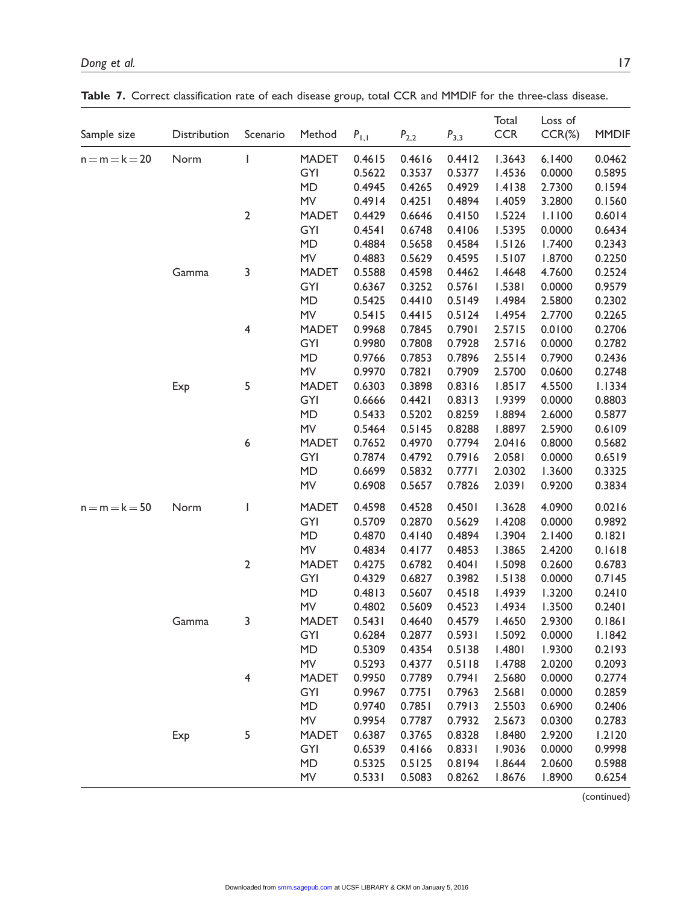| Sample size      | Distribution | Scenario                                                                                                                                                                                                                                                                                                                                                                                                       | Method       | $P_{\rm I,I}$ | $P_{2,2}$ | $P_{3,3}$ | Total<br><b>CCR</b> | Loss of<br>$CCR(\%)$ | <b>MMDIF</b> |
|------------------|--------------|----------------------------------------------------------------------------------------------------------------------------------------------------------------------------------------------------------------------------------------------------------------------------------------------------------------------------------------------------------------------------------------------------------------|--------------|---------------|-----------|-----------|---------------------|----------------------|--------------|
| $n = m = k = 20$ | Norm         | $\overline{\phantom{a}}$                                                                                                                                                                                                                                                                                                                                                                                       | <b>MADET</b> | 0.4615        | 0.4616    | 0.4412    | 1.3643              | 6.1400               | 0.0462       |
|                  |              |                                                                                                                                                                                                                                                                                                                                                                                                                | GYI          | 0.5622        | 0.3537    | 0.5377    | 1.4536              | 0.0000               | 0.5895       |
|                  |              |                                                                                                                                                                                                                                                                                                                                                                                                                | <b>MD</b>    | 0.4945        | 0.4265    | 0.4929    | 1.4138              | 2.7300               | 0.1594       |
|                  |              |                                                                                                                                                                                                                                                                                                                                                                                                                | MV           | 0.4914        | 0.4251    | 0.4894    | 1.4059              | 3.2800               | 0.1560       |
|                  |              | $\overline{\mathbf{c}}$                                                                                                                                                                                                                                                                                                                                                                                        | <b>MADET</b> | 0.4429        | 0.6646    | 0.4150    | 1.5224              | 1.1100               | 0.6014       |
|                  |              |                                                                                                                                                                                                                                                                                                                                                                                                                | GYI          | 0.4541        | 0.6748    | 0.4106    | 1.5395              | 0.0000               | 0.6434       |
|                  |              |                                                                                                                                                                                                                                                                                                                                                                                                                | <b>MD</b>    | 0.4884        | 0.5658    | 0.4584    | 1.5126              | 1.7400               | 0.2343       |
|                  |              |                                                                                                                                                                                                                                                                                                                                                                                                                | MV           | 0.4883        | 0.5629    | 0.4595    | 1.5107              | 1.8700               | 0.2250       |
|                  | Gamma        | 3                                                                                                                                                                                                                                                                                                                                                                                                              | <b>MADET</b> | 0.5588        | 0.4598    | 0.4462    | 1.4648              | 4.7600               | 0.2524       |
|                  |              |                                                                                                                                                                                                                                                                                                                                                                                                                | GYI          | 0.6367        | 0.3252    | 0.5761    | 1.5381              | 0.0000               | 0.9579       |
|                  |              |                                                                                                                                                                                                                                                                                                                                                                                                                | <b>MD</b>    | 0.5425        | 0.4410    | 0.5149    | 1.4984              | 2.5800               | 0.2302       |
|                  |              |                                                                                                                                                                                                                                                                                                                                                                                                                | MV           | 0.5415        | 0.4415    | 0.5124    | 1.4954              | 2.7700               | 0.2265       |
|                  |              | 4                                                                                                                                                                                                                                                                                                                                                                                                              | <b>MADET</b> | 0.9968        | 0.7845    | 0.7901    | 2.5715              | 0.0100               | 0.2706       |
|                  |              |                                                                                                                                                                                                                                                                                                                                                                                                                | GYI          | 0.9980        | 0.7808    | 0.7928    | 2.5716              | 0.0000               | 0.2782       |
|                  |              |                                                                                                                                                                                                                                                                                                                                                                                                                | MD           | 0.9766        | 0.7853    | 0.7896    | 2.5514              | 0.7900               | 0.2436       |
|                  |              |                                                                                                                                                                                                                                                                                                                                                                                                                | <b>MV</b>    | 0.9970        | 0.7821    | 0.7909    | 2.5700              | 0.0600               | 0.2748       |
|                  | Exp          | 5                                                                                                                                                                                                                                                                                                                                                                                                              | <b>MADET</b> | 0.6303        | 0.3898    | 0.8316    | 1.8517              | 4.5500               | 1.1334       |
|                  |              |                                                                                                                                                                                                                                                                                                                                                                                                                | GYI          | 0.6666        | 0.4421    | 0.8313    | 1.9399              | 0.0000               | 0.8803       |
|                  |              |                                                                                                                                                                                                                                                                                                                                                                                                                | <b>MD</b>    | 0.5433        | 0.5202    | 0.8259    | 1.8894              | 2.6000               | 0.5877       |
|                  |              |                                                                                                                                                                                                                                                                                                                                                                                                                | MV           | 0.5464        | 0.5145    | 0.8288    | 1.8897              | 2.5900               | 0.6109       |
|                  |              | 6                                                                                                                                                                                                                                                                                                                                                                                                              | <b>MADET</b> | 0.7652        | 0.4970    | 0.7794    | 2.0416              | 0.8000               | 0.5682       |
|                  |              |                                                                                                                                                                                                                                                                                                                                                                                                                | GYI          | 0.7874        | 0.4792    | 0.7916    | 2.0581              | 0.0000               | 0.6519       |
|                  |              |                                                                                                                                                                                                                                                                                                                                                                                                                | MD           | 0.6699        | 0.5832    | 0.7771    | 2.0302              | 1.3600               | 0.3325       |
|                  |              |                                                                                                                                                                                                                                                                                                                                                                                                                | MV           | 0.6908        | 0.5657    | 0.7826    | 2.0391              | 0.9200               | 0.3834       |
| $n = m = k = 50$ | Norm         | $\begin{array}{c} \rule{0pt}{2ex} \rule{0pt}{2ex} \rule{0pt}{2ex} \rule{0pt}{2ex} \rule{0pt}{2ex} \rule{0pt}{2ex} \rule{0pt}{2ex} \rule{0pt}{2ex} \rule{0pt}{2ex} \rule{0pt}{2ex} \rule{0pt}{2ex} \rule{0pt}{2ex} \rule{0pt}{2ex} \rule{0pt}{2ex} \rule{0pt}{2ex} \rule{0pt}{2ex} \rule{0pt}{2ex} \rule{0pt}{2ex} \rule{0pt}{2ex} \rule{0pt}{2ex} \rule{0pt}{2ex} \rule{0pt}{2ex} \rule{0pt}{2ex} \rule{0pt}{$ | <b>MADET</b> | 0.4598        | 0.4528    | 0.4501    | 1.3628              | 4.0900               | 0.0216       |
|                  |              |                                                                                                                                                                                                                                                                                                                                                                                                                | GYI          | 0.5709        | 0.2870    | 0.5629    | 1.4208              | 0.0000               | 0.9892       |
|                  |              |                                                                                                                                                                                                                                                                                                                                                                                                                | MD           | 0.4870        | 0.4140    | 0.4894    | 1.3904              | 2.1400               | 0.1821       |
|                  |              |                                                                                                                                                                                                                                                                                                                                                                                                                | MV           | 0.4834        | 0.4177    | 0.4853    | 1.3865              | 2.4200               | 0.1618       |
|                  |              | $\overline{2}$                                                                                                                                                                                                                                                                                                                                                                                                 | <b>MADET</b> | 0.4275        | 0.6782    | 0.4041    | 1.5098              | 0.2600               | 0.6783       |
|                  |              |                                                                                                                                                                                                                                                                                                                                                                                                                | GYI          | 0.4329        | 0.6827    | 0.3982    | 1.5138              | 0.0000               | 0.7145       |
|                  |              |                                                                                                                                                                                                                                                                                                                                                                                                                | <b>MD</b>    | 0.4813        | 0.5607    | 0.4518    | 1.4939              | 1.3200               | 0.2410       |
|                  |              |                                                                                                                                                                                                                                                                                                                                                                                                                | MV           | 0.4802        | 0.5609    | 0.4523    | 1.4934              | 1.3500               | 0.2401       |
|                  | Gamma        | 3                                                                                                                                                                                                                                                                                                                                                                                                              | MADET        | 0.5431        | 0.4640    | 0.4579    | 1.4650              | 2.9300               | 0.1861       |
|                  |              |                                                                                                                                                                                                                                                                                                                                                                                                                | GYI          | 0.6284        | 0.2877    | 0.5931    | 1.5092              | 0.0000               | 1.1842       |
|                  |              |                                                                                                                                                                                                                                                                                                                                                                                                                | MD           | 0.5309        | 0.4354    | 0.5138    | 1.4801              | 1.9300               | 0.2193       |
|                  |              |                                                                                                                                                                                                                                                                                                                                                                                                                | <b>MV</b>    | 0.5293        | 0.4377    | 0.5118    | 1.4788              | 2.0200               | 0.2093       |
|                  |              | 4                                                                                                                                                                                                                                                                                                                                                                                                              | <b>MADET</b> | 0.9950        | 0.7789    | 0.7941    | 2.5680              | 0.0000               | 0.2774       |
|                  |              |                                                                                                                                                                                                                                                                                                                                                                                                                | GYI          | 0.9967        | 0.7751    | 0.7963    | 2.5681              | 0.0000               | 0.2859       |
|                  |              |                                                                                                                                                                                                                                                                                                                                                                                                                | <b>MD</b>    | 0.9740        | 0.7851    | 0.7913    | 2.5503              | 0.6900               | 0.2406       |
|                  |              |                                                                                                                                                                                                                                                                                                                                                                                                                | MV           | 0.9954        | 0.7787    | 0.7932    | 2.5673              | 0.0300               | 0.2783       |
|                  | Exp          | 5                                                                                                                                                                                                                                                                                                                                                                                                              | <b>MADET</b> | 0.6387        | 0.3765    | 0.8328    | 1.8480              | 2.9200               | 1.2120       |
|                  |              |                                                                                                                                                                                                                                                                                                                                                                                                                | GYI          | 0.6539        | 0.4166    | 0.8331    | 1.9036              | 0.0000               | 0.9998       |
|                  |              |                                                                                                                                                                                                                                                                                                                                                                                                                | <b>MD</b>    | 0.5325        | 0.5125    | 0.8194    | 1.8644              | 2.0600               | 0.5988       |
|                  |              |                                                                                                                                                                                                                                                                                                                                                                                                                | <b>MV</b>    | 0.5331        | 0.5083    | 0.8262    | 1.8676              | 1.8900               | 0.6254       |
|                  |              |                                                                                                                                                                                                                                                                                                                                                                                                                |              |               |           |           |                     |                      |              |

Table 7. Correct classification rate of each disease group, total CCR and MMDIF for the three-class disease.

(continued)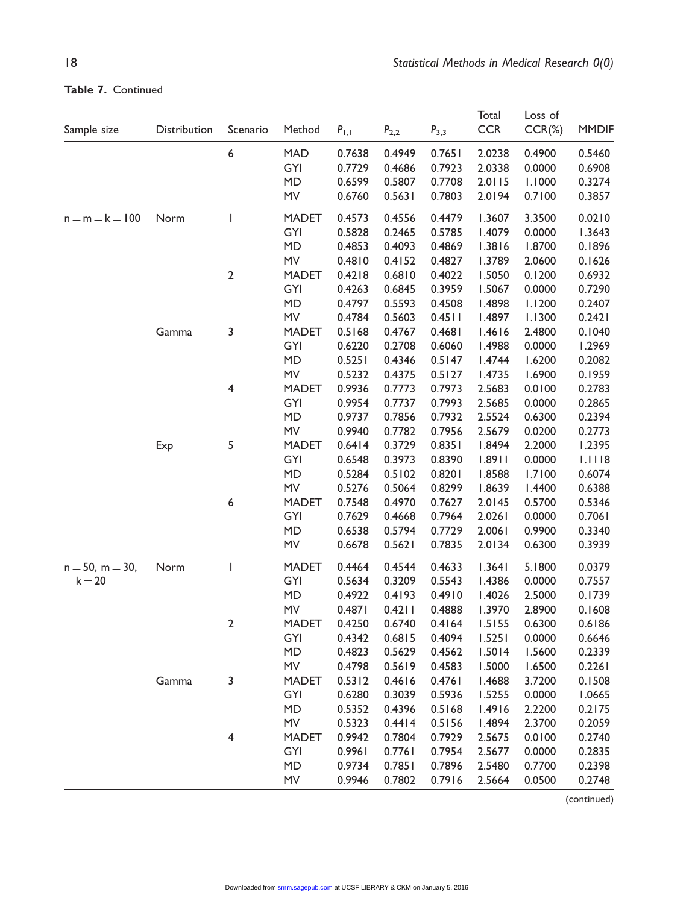| Sample size           | Distribution | Scenario                 | Method       | $P_{1,1}$ | $P_{2,2}$ | $P_{3,3}$ | Total<br><b>CCR</b> | Loss of<br>$CCR(\%)$ | <b>MMDIF</b> |
|-----------------------|--------------|--------------------------|--------------|-----------|-----------|-----------|---------------------|----------------------|--------------|
|                       |              | 6                        | <b>MAD</b>   | 0.7638    | 0.4949    | 0.7651    | 2.0238              | 0.4900               | 0.5460       |
|                       |              |                          | GYI          | 0.7729    | 0.4686    | 0.7923    | 2.0338              | 0.0000               | 0.6908       |
|                       |              |                          | <b>MD</b>    | 0.6599    | 0.5807    | 0.7708    | 2.0115              | 1.1000               | 0.3274       |
|                       |              |                          | MV           | 0.6760    | 0.5631    | 0.7803    | 2.0194              | 0.7100               | 0.3857       |
| $n = m = k = 100$     | Norm         | $\overline{\phantom{a}}$ | <b>MADET</b> | 0.4573    | 0.4556    | 0.4479    | 1.3607              | 3.3500               | 0.0210       |
|                       |              |                          | GYI          | 0.5828    | 0.2465    | 0.5785    | 1.4079              | 0.0000               | 1.3643       |
|                       |              |                          | <b>MD</b>    | 0.4853    | 0.4093    | 0.4869    | 1.3816              | 1.8700               | 0.1896       |
|                       |              |                          | ${\sf MV}$   | 0.4810    | 0.4152    | 0.4827    | 1.3789              | 2.0600               | 0.1626       |
|                       |              | $\mathbf 2$              | <b>MADET</b> | 0.4218    | 0.6810    | 0.4022    | 1.5050              | 0.1200               | 0.6932       |
|                       |              |                          | GYI          | 0.4263    | 0.6845    | 0.3959    | 1.5067              | 0.0000               | 0.7290       |
|                       |              |                          | <b>MD</b>    | 0.4797    | 0.5593    | 0.4508    | 1.4898              | 1.1200               | 0.2407       |
|                       |              |                          | MV           | 0.4784    | 0.5603    | 0.4511    | 1.4897              | 1.1300               | 0.2421       |
|                       | Gamma        | 3                        | <b>MADET</b> | 0.5168    | 0.4767    | 0.4681    | 1.4616              | 2.4800               | 0.1040       |
|                       |              |                          | GYI          | 0.6220    | 0.2708    | 0.6060    | 1.4988              | 0.0000               | 1.2969       |
|                       |              |                          | <b>MD</b>    | 0.5251    | 0.4346    | 0.5147    | 1.4744              | 1.6200               | 0.2082       |
|                       |              |                          | MV           | 0.5232    | 0.4375    | 0.5127    | 1.4735              | 1.6900               | 0.1959       |
|                       |              | 4                        | <b>MADET</b> | 0.9936    | 0.7773    | 0.7973    | 2.5683              | 0.0100               | 0.2783       |
|                       |              |                          | GYI          | 0.9954    | 0.7737    | 0.7993    | 2.5685              | 0.0000               | 0.2865       |
|                       |              |                          | <b>MD</b>    | 0.9737    | 0.7856    | 0.7932    | 2.5524              | 0.6300               | 0.2394       |
|                       |              |                          | MV           | 0.9940    | 0.7782    | 0.7956    | 2.5679              | 0.0200               | 0.2773       |
|                       | Exp          | 5                        | <b>MADET</b> | 0.6414    | 0.3729    | 0.8351    | 1.8494              | 2.2000               | 1.2395       |
|                       |              |                          | GYI          | 0.6548    | 0.3973    | 0.8390    | 1.8911              | 0.0000               | 1.1118       |
|                       |              |                          | <b>MD</b>    | 0.5284    | 0.5102    | 0.8201    | 1.8588              | 1.7100               | 0.6074       |
|                       |              |                          | MV           | 0.5276    | 0.5064    | 0.8299    | 1.8639              | 1.4400               | 0.6388       |
|                       |              | 6                        | <b>MADET</b> | 0.7548    | 0.4970    | 0.7627    | 2.0145              | 0.5700               | 0.5346       |
|                       |              |                          | GYI          | 0.7629    | 0.4668    | 0.7964    | 2.0261              | 0.0000               | 0.7061       |
|                       |              |                          | <b>MD</b>    | 0.6538    | 0.5794    | 0.7729    | 2.0061              | 0.9900               | 0.3340       |
|                       |              |                          | <b>MV</b>    | 0.6678    | 0.5621    | 0.7835    | 2.0134              | 0.6300               | 0.3939       |
| $n = 50$ , $m = 30$ , | Norm         | $\overline{\phantom{a}}$ | <b>MADET</b> | 0.4464    | 0.4544    | 0.4633    | 1.3641              | 5.1800               | 0.0379       |
| $k = 20$              |              |                          | GYI          | 0.5634    | 0.3209    | 0.5543    | 1.4386              | 0.0000               | 0.7557       |
|                       |              |                          | MD           | 0.4922    | 0.4193    | 0.4910    | 1.4026              | 2.5000               | 0.1739       |
|                       |              |                          | MV           | 0.4871    | 0.4211    | 0.4888    | 1.3970              | 2.8900               | 0.1608       |
|                       |              | $\mathbf 2$              | <b>MADET</b> | 0.4250    | 0.6740    | 0.4164    | 1.5155              | 0.6300               | 0.6186       |
|                       |              |                          | GYI          | 0.4342    | 0.6815    | 0.4094    | 1.5251              | 0.0000               | 0.6646       |
|                       |              |                          | <b>MD</b>    | 0.4823    | 0.5629    | 0.4562    | 1.5014              | 1.5600               | 0.2339       |
|                       |              |                          | <b>MV</b>    | 0.4798    | 0.5619    | 0.4583    | 1.5000              | 1.6500               | 0.2261       |
|                       | Gamma        | 3                        | <b>MADET</b> | 0.5312    | 0.4616    | 0.4761    | 1.4688              | 3.7200               | 0.1508       |
|                       |              |                          | GYI          | 0.6280    | 0.3039    | 0.5936    | 1.5255              | 0.0000               | 1.0665       |
|                       |              |                          | <b>MD</b>    | 0.5352    | 0.4396    | 0.5168    | 1.4916              | 2.2200               | 0.2175       |
|                       |              |                          | MV           | 0.5323    | 0.4414    | 0.5156    | 1.4894              | 2.3700               | 0.2059       |
|                       |              | 4                        | <b>MADET</b> | 0.9942    | 0.7804    | 0.7929    | 2.5675              | 0.0100               | 0.2740       |
|                       |              |                          | GYI          | 0.9961    | 0.7761    | 0.7954    | 2.5677              | 0.0000               | 0.2835       |
|                       |              |                          | <b>MD</b>    | 0.9734    | 0.7851    | 0.7896    | 2.5480              | 0.7700               | 0.2398       |
|                       |              |                          | MV           | 0.9946    |           | 0.7916    | 2.5664              |                      | 0.2748       |
|                       |              |                          |              |           | 0.7802    |           |                     | 0.0500               |              |

Table 7. Continued

(continued)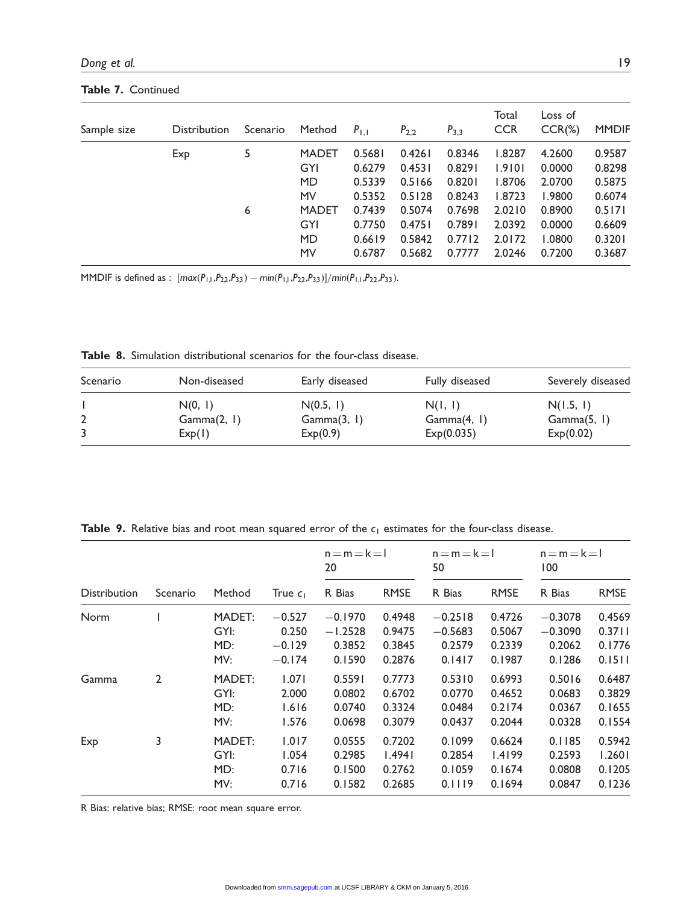| Sample size | Distribution | Scenario | Method       | $P_{1,1}$ | $P_{2,2}$ | $P_{3,3}$ | Total<br><b>CCR</b> | Loss of<br>$CCR(\%)$ | <b>MMDIF</b> |
|-------------|--------------|----------|--------------|-----------|-----------|-----------|---------------------|----------------------|--------------|
|             | Exp          | 5        | <b>MADET</b> | 0.5681    | 0.4261    | 0.8346    | 1.8287              | 4.2600               | 0.9587       |
|             |              |          | GYI          | 0.6279    | 0.4531    | 0.8291    | 1.9101              | 0.0000               | 0.8298       |
|             |              |          | <b>MD</b>    | 0.5339    | 0.5166    | 0.8201    | 1.8706              | 2.0700               | 0.5875       |
|             |              |          | MV           | 0.5352    | 0.5128    | 0.8243    | 1.8723              | 1.9800               | 0.6074       |
|             |              | 6        | <b>MADET</b> | 0.7439    | 0.5074    | 0.7698    | 2.0210              | 0.8900               | 0.5171       |
|             |              |          | GYI          | 0.7750    | 0.4751    | 0.7891    | 2.0392              | 0.0000               | 0.6609       |
|             |              |          | <b>MD</b>    | 0.6619    | 0.5842    | 0.7712    | 2.0172              | 1.0800               | 0.3201       |
|             |              |          | MV           | 0.6787    | 0.5682    | 0.7777    | 2.0246              | 0.7200               | 0.3687       |
|             |              |          |              |           |           |           |                     |                      |              |

Table 7. Continued

MMDIF is defined as :  $(max(P_{1,1},P_{22},P_{3,3}) - min(P_{1,1},P_{22},P_{3,3})]/min(P_{1,1},P_{22},P_{3,3}).$ 

Table 8. Simulation distributional scenarios for the four-class disease.

| Scenario | Non-diseased           | Early diseased           | Fully diseased         | Severely diseased        |
|----------|------------------------|--------------------------|------------------------|--------------------------|
|          | N(0, 1)<br>Gamma(2, 1) | N(0.5, 1)<br>Gamma(3, 1) | N(1, 1)<br>Gamma(4, 1) | N(1.5, 1)<br>Gamma(5, 1) |
|          | Exp(1)                 | Exp(0.9)                 | Exp(0.035)             | Exp(0.02)                |

Table 9. Relative bias and root mean squared error of the  $c_1$  estimates for the four-class disease.

|                     |                |                              |                                           | $n = m = k = 1$<br>20                      |                                      | $n = m = k = 1$<br>50                      |                                      | $n = m = k = 1$<br>100                     |                                      |
|---------------------|----------------|------------------------------|-------------------------------------------|--------------------------------------------|--------------------------------------|--------------------------------------------|--------------------------------------|--------------------------------------------|--------------------------------------|
| <b>Distribution</b> | Scenario       | Method                       | True $c_1$                                | R Bias                                     | <b>RMSE</b>                          | R Bias                                     | <b>RMSE</b>                          | R Bias                                     | <b>RMSE</b>                          |
| Norm                |                | MADET:<br>GYI:<br>MD:<br>MV: | $-0.527$<br>0.250<br>$-0.129$<br>$-0.174$ | $-0.1970$<br>$-1.2528$<br>0.3852<br>0.1590 | 0.4948<br>0.9475<br>0.3845<br>0.2876 | $-0.2518$<br>$-0.5683$<br>0.2579<br>0.1417 | 0.4726<br>0.5067<br>0.2339<br>0.1987 | $-0.3078$<br>$-0.3090$<br>0.2062<br>0.1286 | 0.4569<br>0.3711<br>0.1776<br>0.1511 |
| Gamma               | $\overline{2}$ | MADET:<br>GYI:<br>MD:<br>MV: | 1.071<br>2.000<br>1.616<br>1.576          | 0.5591<br>0.0802<br>0.0740<br>0.0698       | 0.7773<br>0.6702<br>0.3324<br>0.3079 | 0.5310<br>0.0770<br>0.0484<br>0.0437       | 0.6993<br>0.4652<br>0.2174<br>0.2044 | 0.5016<br>0.0683<br>0.0367<br>0.0328       | 0.6487<br>0.3829<br>0.1655<br>0.1554 |
| Exp                 | 3              | MADET:<br>GYI:<br>MD:<br>MV: | 1.017<br>1.054<br>0.716<br>0.716          | 0.0555<br>0.2985<br>0.1500<br>0.1582       | 0.7202<br>1.4941<br>0.2762<br>0.2685 | 0.1099<br>0.2854<br>0.1059<br>0.1119       | 0.6624<br>1.4199<br>0.1674<br>0.1694 | 0.1185<br>0.2593<br>0.0808<br>0.0847       | 0.5942<br>1.2601<br>0.1205<br>0.1236 |

R Bias: relative bias; RMSE: root mean square error.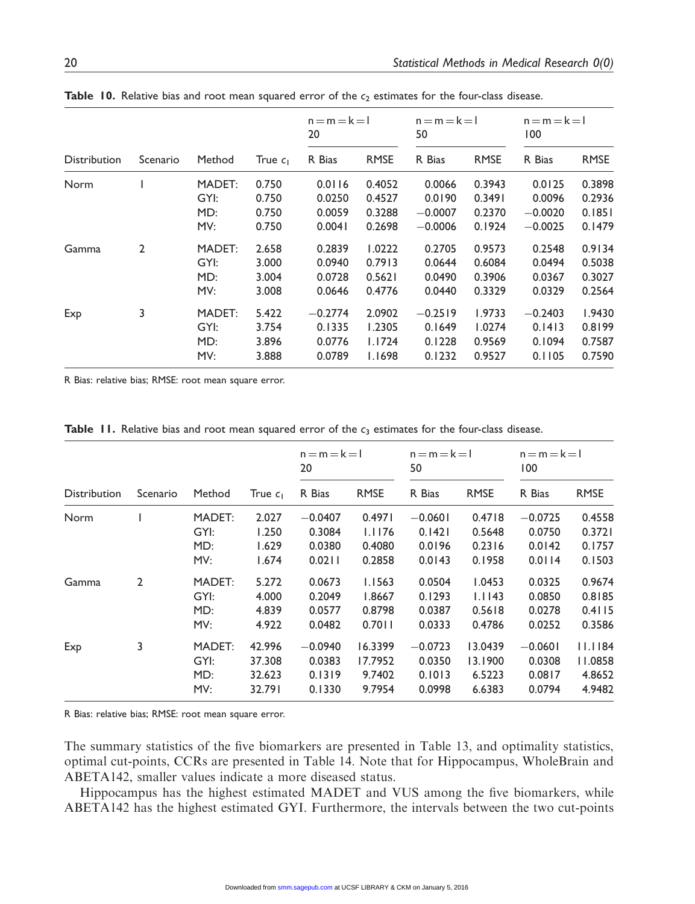|                     |          |        |            | $n = m = k = 1$<br>20 |             | $n = m = k = 1$<br>50 |             | $n = m = k = 1$<br>100 |             |
|---------------------|----------|--------|------------|-----------------------|-------------|-----------------------|-------------|------------------------|-------------|
| <b>Distribution</b> | Scenario | Method | True $c_1$ | R Bias                | <b>RMSE</b> | R Bias                | <b>RMSE</b> | R Bias                 | <b>RMSE</b> |
| Norm                |          | MADET: | 0.750      | 0.0116                | 0.4052      | 0.0066                | 0.3943      | 0.0125                 | 0.3898      |
|                     |          | GYI:   | 0.750      | 0.0250                | 0.4527      | 0.0190                | 0.3491      | 0.0096                 | 0.2936      |
|                     |          | MD:    | 0.750      | 0.0059                | 0.3288      | $-0.0007$             | 0.2370      | $-0.0020$              | 0.1851      |
|                     |          | MV:    | 0.750      | 0.0041                | 0.2698      | $-0.0006$             | 0.1924      | $-0.0025$              | 0.1479      |
| Gamma               | 2        | MADET: | 2.658      | 0.2839                | 1.0222      | 0.2705                | 0.9573      | 0.2548                 | 0.9134      |
|                     |          | GYI:   | 3.000      | 0.0940                | 0.7913      | 0.0644                | 0.6084      | 0.0494                 | 0.5038      |
|                     |          | MD:    | 3.004      | 0.0728                | 0.5621      | 0.0490                | 0.3906      | 0.0367                 | 0.3027      |
|                     |          | MV:    | 3.008      | 0.0646                | 0.4776      | 0.0440                | 0.3329      | 0.0329                 | 0.2564      |
| Exp                 | 3        | MADET: | 5.422      | $-0.2774$             | 2.0902      | $-0.2519$             | 1.9733      | $-0.2403$              | 1.9430      |
|                     |          | GYI:   | 3.754      | 0.1335                | 1.2305      | 0.1649                | 1.0274      | 0.1413                 | 0.8199      |
|                     |          | MD:    | 3.896      | 0.0776                | 1.1724      | 0.1228                | 0.9569      | 0.1094                 | 0.7587      |
|                     |          | MV:    | 3.888      | 0.0789                | 1.1698      | 0.1232                | 0.9527      | 0.1105                 | 0.7590      |

Table 10. Relative bias and root mean squared error of the  $c_2$  estimates for the four-class disease.

R Bias: relative bias; RMSE: root mean square error.

|  |  |  |  |  |  |  |  |  |  |  |  | <b>Table 11.</b> Relative bias and root mean squared error of the $c_3$ estimates for the four-class disease. |  |  |  |  |
|--|--|--|--|--|--|--|--|--|--|--|--|---------------------------------------------------------------------------------------------------------------|--|--|--|--|
|--|--|--|--|--|--|--|--|--|--|--|--|---------------------------------------------------------------------------------------------------------------|--|--|--|--|

|                     |                |                              |                                      | $n = m = k = 1$<br>20                   |                                        | $n = m = k = 1$<br>50                   |                                        | $n = m = k = 1$<br>100                  |                                        |
|---------------------|----------------|------------------------------|--------------------------------------|-----------------------------------------|----------------------------------------|-----------------------------------------|----------------------------------------|-----------------------------------------|----------------------------------------|
| <b>Distribution</b> | Scenario       | Method                       | True $c_1$                           | R Bias                                  | <b>RMSE</b>                            | R Bias                                  | <b>RMSE</b>                            | R Bias                                  | <b>RMSE</b>                            |
| Norm                |                | MADET:<br>GYI:<br>MD:<br>MV: | 2.027<br>1.250<br>1.629<br>1.674     | $-0.0407$<br>0.3084<br>0.0380<br>0.0211 | 0.4971<br>1.1176<br>0.4080<br>0.2858   | $-0.0601$<br>0.1421<br>0.0196<br>0.0143 | 0.4718<br>0.5648<br>0.2316<br>0.1958   | $-0.0725$<br>0.0750<br>0.0142<br>0.0114 | 0.4558<br>0.3721<br>0.1757<br>0.1503   |
| Gamma               | $\overline{2}$ | MADET:<br>GYI:<br>MD:<br>MV: | 5.272<br>4.000<br>4.839<br>4.922     | 0.0673<br>0.2049<br>0.0577<br>0.0482    | 1.1563<br>1.8667<br>0.8798<br>0.7011   | 0.0504<br>0.1293<br>0.0387<br>0.0333    | 1.0453<br>1.1143<br>0.5618<br>0.4786   | 0.0325<br>0.0850<br>0.0278<br>0.0252    | 0.9674<br>0.8185<br>0.4115<br>0.3586   |
| Exp                 | 3              | MADET:<br>GYI:<br>MD:<br>MV: | 42.996<br>37.308<br>32.623<br>32.791 | $-0.0940$<br>0.0383<br>0.1319<br>0.1330 | 16.3399<br>17.7952<br>9.7402<br>9.7954 | $-0.0723$<br>0.0350<br>0.1013<br>0.0998 | 13.0439<br>13.1900<br>6.5223<br>6.6383 | $-0.0601$<br>0.0308<br>0.0817<br>0.0794 | 11.1184<br>11.0858<br>4.8652<br>4.9482 |

R Bias: relative bias; RMSE: root mean square error.

The summary statistics of the five biomarkers are presented in Table 13, and optimality statistics, optimal cut-points, CCRs are presented in Table 14. Note that for Hippocampus, WholeBrain and ABETA142, smaller values indicate a more diseased status.

Hippocampus has the highest estimated MADET and VUS among the five biomarkers, while ABETA142 has the highest estimated GYI. Furthermore, the intervals between the two cut-points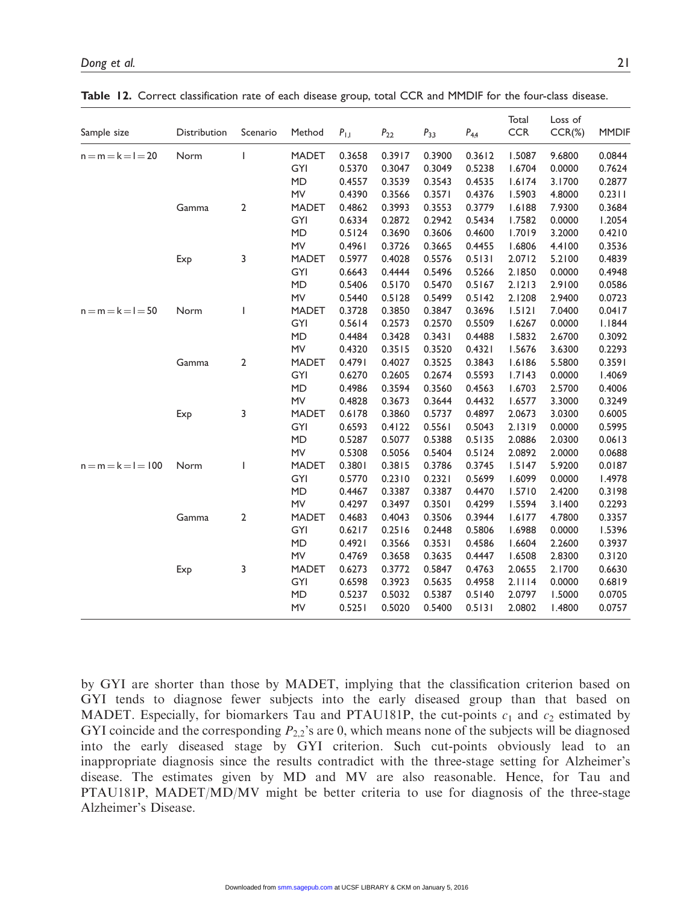| Sample size           | Distribution | Scenario       | Method       | $P_{1,1}$ | $P_{2,2}$ | $P_{3,3}$ | $P_{4,4}$ | Total<br><b>CCR</b> | Loss of<br>$CCR(\%)$ | <b>MMDIF</b> |
|-----------------------|--------------|----------------|--------------|-----------|-----------|-----------|-----------|---------------------|----------------------|--------------|
| $n = m = k = l = 20$  | Norm         | ı              | <b>MADET</b> | 0.3658    | 0.3917    | 0.3900    | 0.3612    | 1.5087              | 9.6800               | 0.0844       |
|                       |              |                | GYI          | 0.5370    | 0.3047    | 0.3049    | 0.5238    | 1.6704              | 0.0000               | 0.7624       |
|                       |              |                | <b>MD</b>    | 0.4557    | 0.3539    | 0.3543    | 0.4535    | 1.6174              | 3.1700               | 0.2877       |
|                       |              |                | MV           | 0.4390    | 0.3566    | 0.3571    | 0.4376    | 1.5903              | 4.8000               | 0.2311       |
|                       | Gamma        | $\mathbf{2}$   | <b>MADET</b> | 0.4862    | 0.3993    | 0.3553    | 0.3779    | 1.6188              | 7.9300               | 0.3684       |
|                       |              |                | GYI          | 0.6334    | 0.2872    | 0.2942    | 0.5434    | 1.7582              | 0.0000               | 1.2054       |
|                       |              |                | <b>MD</b>    | 0.5124    | 0.3690    | 0.3606    | 0.4600    | 1.7019              | 3.2000               | 0.4210       |
|                       |              |                | MV           | 0.4961    | 0.3726    | 0.3665    | 0.4455    | 1.6806              | 4.4100               | 0.3536       |
|                       | Exp          | 3              | <b>MADET</b> | 0.5977    | 0.4028    | 0.5576    | 0.5131    | 2.0712              | 5.2100               | 0.4839       |
|                       |              |                | GYI          | 0.6643    | 0.4444    | 0.5496    | 0.5266    | 2.1850              | 0.0000               | 0.4948       |
|                       |              |                | <b>MD</b>    | 0.5406    | 0.5170    | 0.5470    | 0.5167    | 2.1213              | 2.9100               | 0.0586       |
|                       |              |                | MV           | 0.5440    | 0.5128    | 0.5499    | 0.5142    | 2.1208              | 2.9400               | 0.0723       |
| $n = m = k = l = 50$  | Norm         |                | <b>MADET</b> | 0.3728    | 0.3850    | 0.3847    | 0.3696    | 1.5121              | 7.0400               | 0.0417       |
|                       |              |                | GYI          | 0.5614    | 0.2573    | 0.2570    | 0.5509    | 1.6267              | 0.0000               | 1.1844       |
|                       |              |                | <b>MD</b>    | 0.4484    | 0.3428    | 0.3431    | 0.4488    | 1.5832              | 2.6700               | 0.3092       |
|                       |              |                | MV           | 0.4320    | 0.3515    | 0.3520    | 0.4321    | 1.5676              | 3.6300               | 0.2293       |
|                       | Gamma        | $\overline{2}$ | <b>MADET</b> | 0.4791    | 0.4027    | 0.3525    | 0.3843    | 1.6186              | 5.5800               | 0.3591       |
|                       |              |                | GYI          | 0.6270    | 0.2605    | 0.2674    | 0.5593    | 1.7143              | 0.0000               | 1.4069       |
|                       |              |                | <b>MD</b>    | 0.4986    | 0.3594    | 0.3560    | 0.4563    | 1.6703              | 2.5700               | 0.4006       |
|                       |              |                | MV           | 0.4828    | 0.3673    | 0.3644    | 0.4432    | 1.6577              | 3.3000               | 0.3249       |
|                       | Exp          | 3              | <b>MADET</b> | 0.6178    | 0.3860    | 0.5737    | 0.4897    | 2.0673              | 3.0300               | 0.6005       |
|                       |              |                | GYI          | 0.6593    | 0.4122    | 0.5561    | 0.5043    | 2.1319              | 0.0000               | 0.5995       |
|                       |              |                | <b>MD</b>    | 0.5287    | 0.5077    | 0.5388    | 0.5135    | 2.0886              | 2.0300               | 0.0613       |
|                       |              |                | MV           | 0.5308    | 0.5056    | 0.5404    | 0.5124    | 2.0892              | 2.0000               | 0.0688       |
| $n = m = k = l = 100$ | Norm         |                | <b>MADET</b> | 0.3801    | 0.3815    | 0.3786    | 0.3745    | 1.5147              | 5.9200               | 0.0187       |
|                       |              |                | GYI          | 0.5770    | 0.2310    | 0.2321    | 0.5699    | 1.6099              | 0.0000               | 1.4978       |
|                       |              |                | <b>MD</b>    | 0.4467    | 0.3387    | 0.3387    | 0.4470    | 1.5710              | 2.4200               | 0.3198       |
|                       |              |                | MV           | 0.4297    | 0.3497    | 0.3501    | 0.4299    | 1.5594              | 3.1400               | 0.2293       |
|                       | Gamma        | 2              | <b>MADET</b> | 0.4683    | 0.4043    | 0.3506    | 0.3944    | 1.6177              | 4.7800               | 0.3357       |
|                       |              |                | GYI          | 0.6217    | 0.2516    | 0.2448    | 0.5806    | 1.6988              | 0.0000               | 1.5396       |
|                       |              |                | <b>MD</b>    | 0.4921    | 0.3566    | 0.3531    | 0.4586    | 1.6604              | 2.2600               | 0.3937       |
|                       |              |                | MV           | 0.4769    | 0.3658    | 0.3635    | 0.4447    | 1.6508              | 2.8300               | 0.3120       |

Exp 3 MADET 0.6273 0.3772 0.5847 0.4763 2.0655 2.1700 0.6630

GYI 0.6598 0.3923 0.5635 0.4958 2.1114 0.0000

MD 0.5237 0.5032 0.5387 0.5140 2.0797 1.5000 0.0705 MV 0.5251 0.5020 0.5400 0.5131 2.0802 1.4800 0.0757

Table 12. Correct classification rate of each disease group, total CCR and MMDIF for the four-class disease.

by GYI are shorter than those by MADET, implying that the classification criterion based on GYI tends to diagnose fewer subjects into the early diseased group than that based on MADET. Especially, for biomarkers Tau and PTAU181P, the cut-points  $c_1$  and  $c_2$  estimated by GYI coincide and the corresponding  $P_2$  is are 0, which means none of the subjects will be diagnosed into the early diseased stage by GYI criterion. Such cut-points obviously lead to an inappropriate diagnosis since the results contradict with the three-stage setting for Alzheimer's disease. The estimates given by MD and MV are also reasonable. Hence, for Tau and PTAU181P, MADET/MD/MV might be better criteria to use for diagnosis of the three-stage Alzheimer's Disease.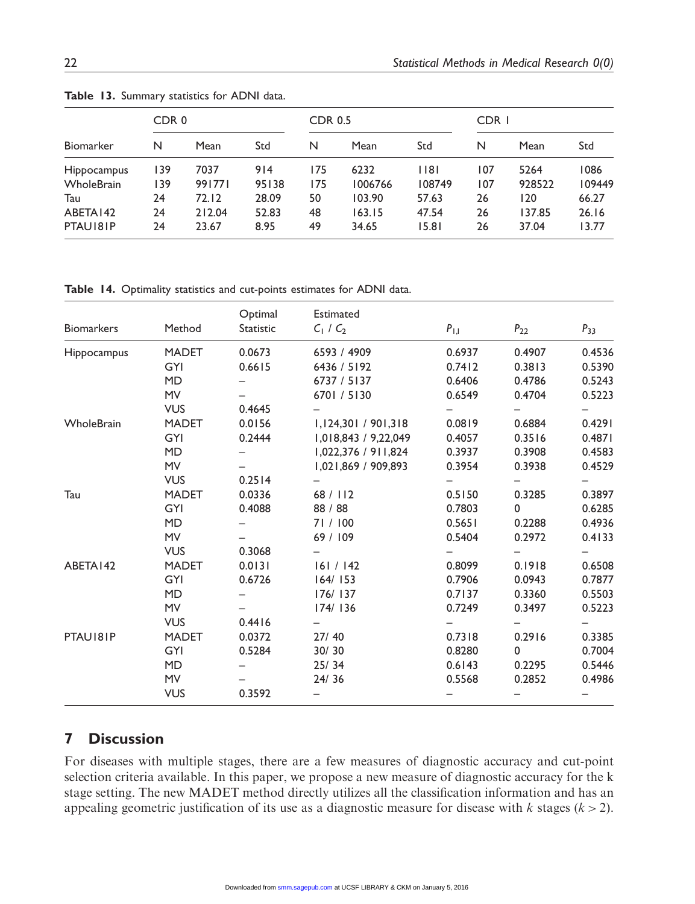|                  | CDR <sub>0</sub> |        |       | <b>CDR 0.5</b> |         |        | CDR I |        |        |  |
|------------------|------------------|--------|-------|----------------|---------|--------|-------|--------|--------|--|
| <b>Biomarker</b> | N                | Mean   | Std   | N              | Mean    | Std    | N     | Mean   | Std    |  |
| Hippocampus      | 139              | 7037   | 914   | 175            | 6232    | $ $  8 | 107   | 5264   | 1086   |  |
| WholeBrain       | 39،              | 991771 | 95138 | 175            | 1006766 | 108749 | 107   | 928522 | 109449 |  |
| Tau              | 24               | 72.12  | 28.09 | 50             | 103.90  | 57.63  | 26    | 120    | 66.27  |  |
| ABETA142         | 24               | 212.04 | 52.83 | 48             | 163.15  | 47.54  | 26    | 137.85 | 26.16  |  |
| PTAU181P         | 24               | 23.67  | 8.95  | 49             | 34.65   | 15.81  | 26    | 37.04  | 13.77  |  |

Table 13. Summary statistics for ADNI data.

Table 14. Optimality statistics and cut-points estimates for ADNI data.

| <b>Biomarkers</b>  | Method       | Optimal<br>Statistic | Estimated<br>$C_1 / C_2$ | $P_{1,1}$ | $P_{2,2}$    | $P_{33}$ |
|--------------------|--------------|----------------------|--------------------------|-----------|--------------|----------|
| <b>Hippocampus</b> | <b>MADET</b> | 0.0673               | 6593 / 4909              | 0.6937    | 0.4907       | 0.4536   |
|                    | <b>GYI</b>   | 0.6615               | 6436 / 5192              | 0.7412    | 0.3813       | 0.5390   |
|                    | <b>MD</b>    |                      | 6737 / 5137              | 0.6406    | 0.4786       | 0.5243   |
|                    | <b>MV</b>    |                      | 6701/5130                | 0.6549    | 0.4704       | 0.5223   |
|                    | <b>VUS</b>   | 0.4645               |                          |           |              |          |
| WholeBrain         | <b>MADET</b> | 0.0156               | 1,124,301 / 901,318      | 0.0819    | 0.6884       | 0.4291   |
|                    | <b>GYI</b>   | 0.2444               | 1,018,843 / 9,22,049     | 0.4057    | 0.3516       | 0.4871   |
|                    | <b>MD</b>    |                      | 1,022,376 / 911,824      | 0.3937    | 0.3908       | 0.4583   |
|                    | <b>MV</b>    |                      | 1,021,869 / 909,893      | 0.3954    | 0.3938       | 0.4529   |
|                    | <b>VUS</b>   | 0.2514               |                          |           |              |          |
| Tau                | <b>MADET</b> | 0.0336               | 68 / 112                 | 0.5150    | 0.3285       | 0.3897   |
|                    | GYI          | 0.4088               | 88 / 88                  | 0.7803    | $\Omega$     | 0.6285   |
|                    | <b>MD</b>    |                      | 71/100                   | 0.5651    | 0.2288       | 0.4936   |
|                    | <b>MV</b>    |                      | 69 / 109                 | 0.5404    | 0.2972       | 0.4133   |
|                    | <b>VUS</b>   | 0.3068               |                          |           |              |          |
| ABETA142           | <b>MADET</b> | 0.0131               | 161 / 142                | 0.8099    | 0.1918       | 0.6508   |
|                    | GYI          | 0.6726               | 164/153                  | 0.7906    | 0.0943       | 0.7877   |
|                    | <b>MD</b>    |                      | 176/137                  | 0.7137    | 0.3360       | 0.5503   |
|                    | <b>MV</b>    |                      | 174/136                  | 0.7249    | 0.3497       | 0.5223   |
|                    | <b>VUS</b>   | 0.4416               |                          |           |              |          |
| PTAU181P           | <b>MADET</b> | 0.0372               | 27/40                    | 0.7318    | 0.2916       | 0.3385   |
|                    | GYI          | 0.5284               | 30/30                    | 0.8280    | $\mathbf{0}$ | 0.7004   |
|                    | <b>MD</b>    |                      | 25/34                    | 0.6143    | 0.2295       | 0.5446   |
|                    | <b>MV</b>    |                      | 24/36                    | 0.5568    | 0.2852       | 0.4986   |
|                    | <b>VUS</b>   | 0.3592               |                          |           |              |          |

# 7 Discussion

For diseases with multiple stages, there are a few measures of diagnostic accuracy and cut-point selection criteria available. In this paper, we propose a new measure of diagnostic accuracy for the k stage setting. The new MADET method directly utilizes all the classification information and has an appealing geometric justification of its use as a diagnostic measure for disease with k stages  $(k > 2)$ .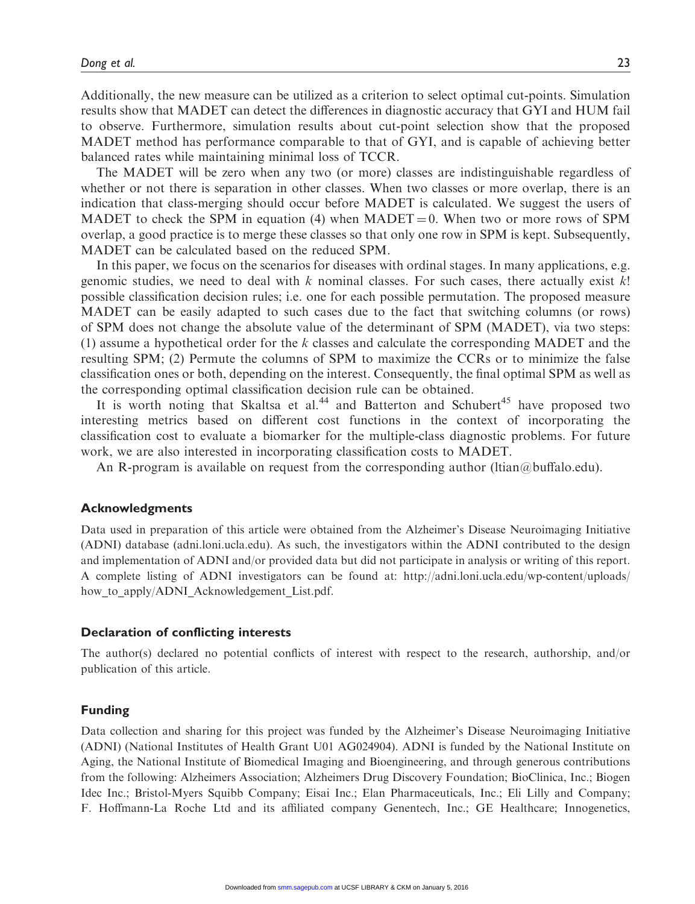Additionally, the new measure can be utilized as a criterion to select optimal cut-points. Simulation results show that MADET can detect the differences in diagnostic accuracy that GYI and HUM fail to observe. Furthermore, simulation results about cut-point selection show that the proposed MADET method has performance comparable to that of GYI, and is capable of achieving better balanced rates while maintaining minimal loss of TCCR.

The MADET will be zero when any two (or more) classes are indistinguishable regardless of whether or not there is separation in other classes. When two classes or more overlap, there is an indication that class-merging should occur before MADET is calculated. We suggest the users of MADET to check the SPM in equation (4) when MADET = 0. When two or more rows of SPM overlap, a good practice is to merge these classes so that only one row in SPM is kept. Subsequently, MADET can be calculated based on the reduced SPM.

In this paper, we focus on the scenarios for diseases with ordinal stages. In many applications, e.g. genomic studies, we need to deal with  $k$  nominal classes. For such cases, there actually exist  $k!$ possible classification decision rules; i.e. one for each possible permutation. The proposed measure MADET can be easily adapted to such cases due to the fact that switching columns (or rows) of SPM does not change the absolute value of the determinant of SPM (MADET), via two steps: (1) assume a hypothetical order for the  $k$  classes and calculate the corresponding MADET and the resulting SPM; (2) Permute the columns of SPM to maximize the CCRs or to minimize the false classification ones or both, depending on the interest. Consequently, the final optimal SPM as well as the corresponding optimal classification decision rule can be obtained.

It is worth noting that Skaltsa et al.<sup>44</sup> and Batterton and Schubert<sup>45</sup> have proposed two interesting metrics based on different cost functions in the context of incorporating the classification cost to evaluate a biomarker for the multiple-class diagnostic problems. For future work, we are also interested in incorporating classification costs to MADET.

An R-program is available on request from the corresponding author (Itian $@$ buffalo.edu).

#### Acknowledgments

Data used in preparation of this article were obtained from the Alzheimer's Disease Neuroimaging Initiative (ADNI) database (adni.loni.ucla.edu). As such, the investigators within the ADNI contributed to the design and implementation of ADNI and/or provided data but did not participate in analysis or writing of this report. A complete listing of ADNI investigators can be found at: [http://adni.loni.ucla.edu/wp-content/uploads/](http://adni.loni.ucla.edu/wp-content/uploads/how_to_apply/ADNI_Acknowledgement_List.pdf) how to apply/ADNI Acknowledgement List.pdf.

#### Declaration of conflicting interests

The author(s) declared no potential conflicts of interest with respect to the research, authorship, and/or publication of this article.

#### Funding

Data collection and sharing for this project was funded by the Alzheimer's Disease Neuroimaging Initiative (ADNI) (National Institutes of Health Grant U01 AG024904). ADNI is funded by the National Institute on Aging, the National Institute of Biomedical Imaging and Bioengineering, and through generous contributions from the following: Alzheimers Association; Alzheimers Drug Discovery Foundation; BioClinica, Inc.; Biogen Idec Inc.; Bristol-Myers Squibb Company; Eisai Inc.; Elan Pharmaceuticals, Inc.; Eli Lilly and Company; F. Hoffmann-La Roche Ltd and its affiliated company Genentech, Inc.; GE Healthcare; Innogenetics,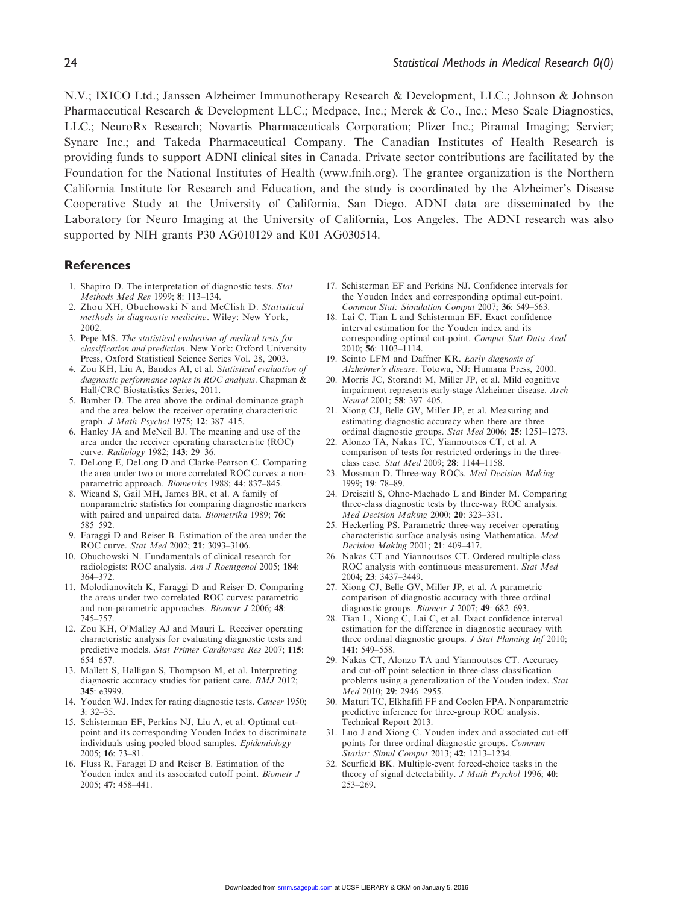N.V.; IXICO Ltd.; Janssen Alzheimer Immunotherapy Research & Development, LLC.; Johnson & Johnson Pharmaceutical Research & Development LLC.; Medpace, Inc.; Merck & Co., Inc.; Meso Scale Diagnostics, LLC.; NeuroRx Research; Novartis Pharmaceuticals Corporation; Pfizer Inc.; Piramal Imaging; Servier; Synarc Inc.; and Takeda Pharmaceutical Company. The Canadian Institutes of Health Research is providing funds to support ADNI clinical sites in Canada. Private sector contributions are facilitated by the Foundation for the National Institutes of Health [\(www.fnih.org\)](www.fnih.org). The grantee organization is the Northern California Institute for Research and Education, and the study is coordinated by the Alzheimer's Disease Cooperative Study at the University of California, San Diego. ADNI data are disseminated by the Laboratory for Neuro Imaging at the University of California, Los Angeles. The ADNI research was also supported by NIH grants P30 AG010129 and K01 AG030514.

#### References

- 1. Shapiro D. The interpretation of diagnostic tests. Stat Methods Med Res 1999; 8: 113–134.
- 2. Zhou XH, Obuchowski N and McClish D. Statistical methods in diagnostic medicine. Wiley: New York, 2002.
- 3. Pepe MS. The statistical evaluation of medical tests for classification and prediction. New York: Oxford University Press, Oxford Statistical Science Series Vol. 28, 2003.
- 4. Zou KH, Liu A, Bandos AI, et al. Statistical evaluation of diagnostic performance topics in ROC analysis. Chapman & Hall/CRC Biostatistics Series, 2011.
- 5. Bamber D. The area above the ordinal dominance graph and the area below the receiver operating characteristic graph. *J Math Psychol* 1975; 12: 387-415.
- 6. Hanley JA and McNeil BJ. The meaning and use of the area under the receiver operating characteristic (ROC) curve. Radiology 1982; 143: 29-36.
- 7. DeLong E, DeLong D and Clarke-Pearson C. Comparing the area under two or more correlated ROC curves: a nonparametric approach. Biometrics 1988; 44: 837-845.
- 8. Wieand S, Gail MH, James BR, et al. A family of nonparametric statistics for comparing diagnostic markers with paired and unpaired data. Biometrika 1989; 76: 585–592.
- 9. Faraggi D and Reiser B. Estimation of the area under the ROC curve. Stat Med 2002; 21: 3093–3106.
- 10. Obuchowski N. Fundamentals of clinical research for radiologists: ROC analysis. Am J Roentgenol 2005; 184: 364–372.
- 11. Molodianovitch K, Faraggi D and Reiser D. Comparing the areas under two correlated ROC curves: parametric and non-parametric approaches. Biometr J 2006; 48: 745–757.
- 12. Zou KH, O'Malley AJ and Mauri L. Receiver operating characteristic analysis for evaluating diagnostic tests and predictive models. Stat Primer Cardiovasc Res 2007; 115: 654–657.
- 13. Mallett S, Halligan S, Thompson M, et al. Interpreting diagnostic accuracy studies for patient care. BMJ 2012; 345: e3999.
- 14. Youden WJ. Index for rating diagnostic tests. Cancer 1950; 3: 32–35.
- 15. Schisterman EF, Perkins NJ, Liu A, et al. Optimal cutpoint and its corresponding Youden Index to discriminate individuals using pooled blood samples. Epidemiology 2005; 16: 73–81.
- 16. Fluss R, Faraggi D and Reiser B. Estimation of the Youden index and its associated cutoff point. Biometr J 2005; 47: 458–441.
- 17. Schisterman EF and Perkins NJ. Confidence intervals for the Youden Index and corresponding optimal cut-point. Commun Stat: Simulation Comput 2007; 36: 549–563.
- 18. Lai C, Tian L and Schisterman EF. Exact confidence interval estimation for the Youden index and its corresponding optimal cut-point. Comput Stat Data Anal 2010; 56: 1103–1114.
- 19. Scinto LFM and Daffner KR. Early diagnosis of Alzheimer's disease. Totowa, NJ: Humana Press, 2000.
- 20. Morris JC, Storandt M, Miller JP, et al. Mild cognitive impairment represents early-stage Alzheimer disease. Arch Neurol 2001; 58: 397-405.
- 21. Xiong CJ, Belle GV, Miller JP, et al. Measuring and estimating diagnostic accuracy when there are three ordinal diagnostic groups. Stat Med 2006; 25: 1251–1273.
- 22. Alonzo TA, Nakas TC, Yiannoutsos CT, et al. A comparison of tests for restricted orderings in the threeclass case. Stat Med 2009; 28: 1144–1158.
- 23. Mossman D. Three-way ROCs. Med Decision Making 1999; 19: 78–89.
- 24. Dreiseitl S, Ohno-Machado L and Binder M. Comparing three-class diagnostic tests by three-way ROC analysis. Med Decision Making 2000; 20: 323–331.
- 25. Heckerling PS. Parametric three-way receiver operating characteristic surface analysis using Mathematica. Med Decision Making 2001; 21: 409–417.
- 26. Nakas CT and Yiannoutsos CT. Ordered multiple-class ROC analysis with continuous measurement. Stat Med 2004; 23: 3437–3449.
- 27. Xiong CJ, Belle GV, Miller JP, et al. A parametric comparison of diagnostic accuracy with three ordinal diagnostic groups. Biometr J 2007; 49: 682-693.
- 28. Tian L, Xiong C, Lai C, et al. Exact confidence interval estimation for the difference in diagnostic accuracy with three ordinal diagnostic groups. J Stat Planning Inf 2010; 141: 549–558.
- 29. Nakas CT, Alonzo TA and Yiannoutsos CT. Accuracy and cut-off point selection in three-class classification problems using a generalization of the Youden index. Stat Med 2010; 29: 2946–2955.
- 30. Maturi TC, Elkhafifi FF and Coolen FPA. Nonparametric predictive inference for three-group ROC analysis. Technical Report 2013.
- 31. Luo J and Xiong C. Youden index and associated cut-off points for three ordinal diagnostic groups. Commun Statist: Simul Comput 2013; 42: 1213-1234.
- 32. Scurfield BK. Multiple-event forced-choice tasks in the theory of signal detectability. J Math Psychol 1996; 40: 253–269.